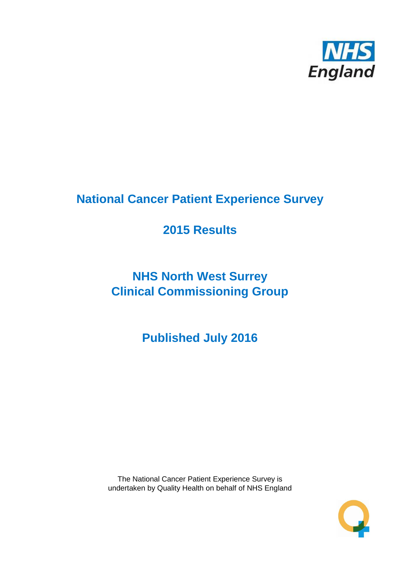

# **National Cancer Patient Experience Survey**

# **2015 Results**

# **NHS North West Surrey Clinical Commissioning Group**

**Published July 2016**

The National Cancer Patient Experience Survey is undertaken by Quality Health on behalf of NHS England

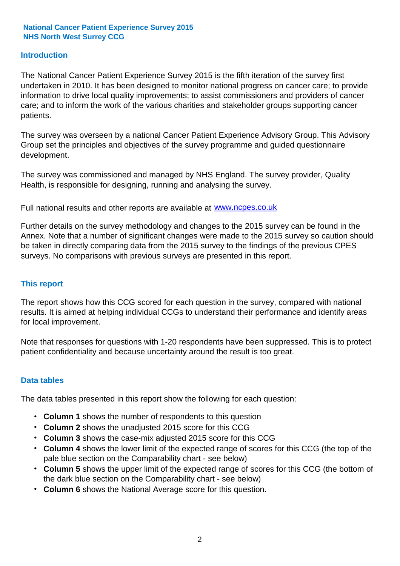#### **Introduction**

The National Cancer Patient Experience Survey 2015 is the fifth iteration of the survey first undertaken in 2010. It has been designed to monitor national progress on cancer care; to provide information to drive local quality improvements; to assist commissioners and providers of cancer care; and to inform the work of the various charities and stakeholder groups supporting cancer patients.

The survey was overseen by a national Cancer Patient Experience Advisory Group. This Advisory Group set the principles and objectives of the survey programme and guided questionnaire development.

The survey was commissioned and managed by NHS England. The survey provider, Quality Health, is responsible for designing, running and analysing the survey.

Full national results and other reports are available at www.ncpes.co.uk

Further details on the survey methodology and changes to the 2015 survey can be found in the Annex. Note that a number of significant changes were made to the 2015 survey so caution should be taken in directly comparing data from the 2015 survey to the findings of the previous CPES surveys. No comparisons with previous surveys are presented in this report.

#### **This report**

The report shows how this CCG scored for each question in the survey, compared with national results. It is aimed at helping individual CCGs to understand their performance and identify areas for local improvement.

Note that responses for questions with 1-20 respondents have been suppressed. This is to protect patient confidentiality and because uncertainty around the result is too great.

#### **Data tables**

The data tables presented in this report show the following for each question:

- **Column 1** shows the number of respondents to this question
- **Column 2** shows the unadjusted 2015 score for this CCG
- **Column 3** shows the case-mix adjusted 2015 score for this CCG
- **Column 4** shows the lower limit of the expected range of scores for this CCG (the top of the pale blue section on the Comparability chart - see below)
- **Column 5** shows the upper limit of the expected range of scores for this CCG (the bottom of the dark blue section on the Comparability chart - see below)
- **Column 6** shows the National Average score for this question.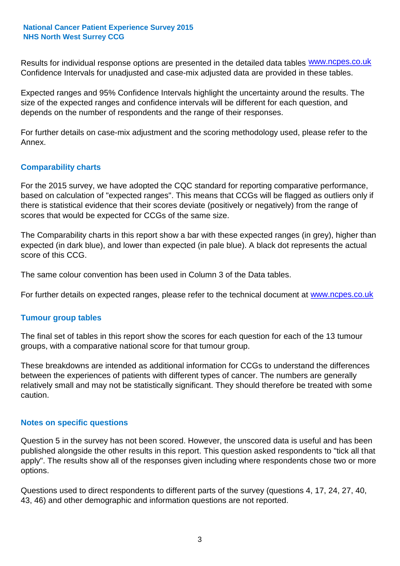Results for individual response options are presented in the detailed data tables **WWW.ncpes.co.uk** Confidence Intervals for unadjusted and case-mix adjusted data are provided in these tables.

Expected ranges and 95% Confidence Intervals highlight the uncertainty around the results. The size of the expected ranges and confidence intervals will be different for each question, and depends on the number of respondents and the range of their responses.

For further details on case-mix adjustment and the scoring methodology used, please refer to the Annex.

#### **Comparability charts**

For the 2015 survey, we have adopted the CQC standard for reporting comparative performance, based on calculation of "expected ranges". This means that CCGs will be flagged as outliers only if there is statistical evidence that their scores deviate (positively or negatively) from the range of scores that would be expected for CCGs of the same size.

The Comparability charts in this report show a bar with these expected ranges (in grey), higher than expected (in dark blue), and lower than expected (in pale blue). A black dot represents the actual score of this CCG.

The same colour convention has been used in Column 3 of the Data tables.

For further details on expected ranges, please refer to the technical document at **www.ncpes.co.uk** 

#### **Tumour group tables**

The final set of tables in this report show the scores for each question for each of the 13 tumour groups, with a comparative national score for that tumour group.

These breakdowns are intended as additional information for CCGs to understand the differences between the experiences of patients with different types of cancer. The numbers are generally relatively small and may not be statistically significant. They should therefore be treated with some caution.

#### **Notes on specific questions**

Question 5 in the survey has not been scored. However, the unscored data is useful and has been published alongside the other results in this report. This question asked respondents to "tick all that apply". The results show all of the responses given including where respondents chose two or more options.

Questions used to direct respondents to different parts of the survey (questions 4, 17, 24, 27, 40, 43, 46) and other demographic and information questions are not reported.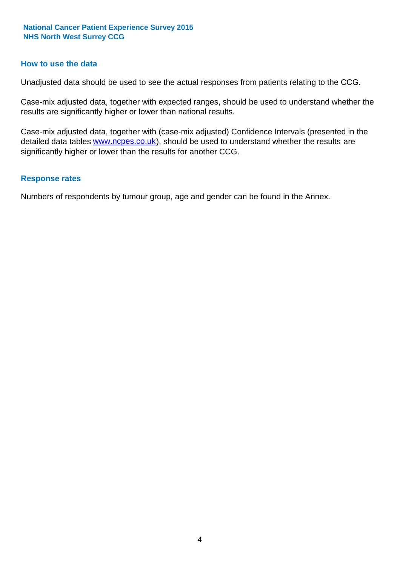#### **How to use the data**

Unadjusted data should be used to see the actual responses from patients relating to the CCG.

Case-mix adjusted data, together with expected ranges, should be used to understand whether the results are significantly higher or lower than national results.

Case-mix adjusted data, together with (case-mix adjusted) Confidence Intervals (presented in the detailed data tables **www.ncpes.co.uk**), should be used to understand whether the results are significantly higher or lower than the results for another CCG.

#### **Response rates**

Numbers of respondents by tumour group, age and gender can be found in the Annex.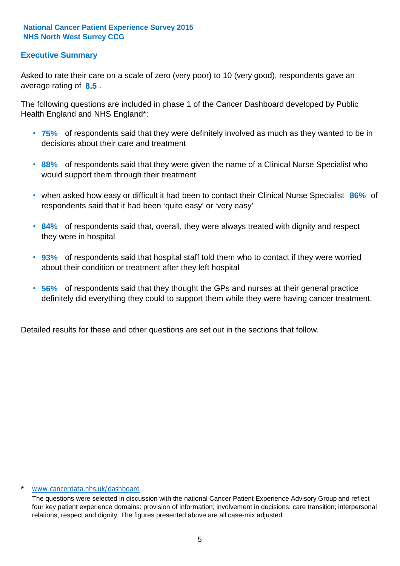#### **Executive Summary**

average rating of 8.5. Asked to rate their care on a scale of zero (very poor) to 10 (very good), respondents gave an

The following questions are included in phase 1 of the Cancer Dashboard developed by Public Health England and NHS England\*:

- **75%** of respondents said that they were definitely involved as much as they wanted to be in decisions about their care and treatment
- **88%** of respondents said that they were given the name of a Clinical Nurse Specialist who would support them through their treatment
- when asked how easy or difficult it had been to contact their Clinical Nurse Specialist 86% of respondents said that it had been 'quite easy' or 'very easy'
- **84%** of respondents said that, overall, they were always treated with dignity and respect they were in hospital
- **93%** of respondents said that hospital staff told them who to contact if they were worried about their condition or treatment after they left hospital
- **56%** of respondents said that they thought the GPs and nurses at their general practice definitely did everything they could to support them while they were having cancer treatment.

Detailed results for these and other questions are set out in the sections that follow.

#### www.cancerdata.nhs.uk/dashboard

The questions were selected in discussion with the national Cancer Patient Experience Advisory Group and reflect four key patient experience domains: provision of information; involvement in decisions; care transition; interpersonal relations, respect and dignity. The figures presented above are all case-mix adjusted.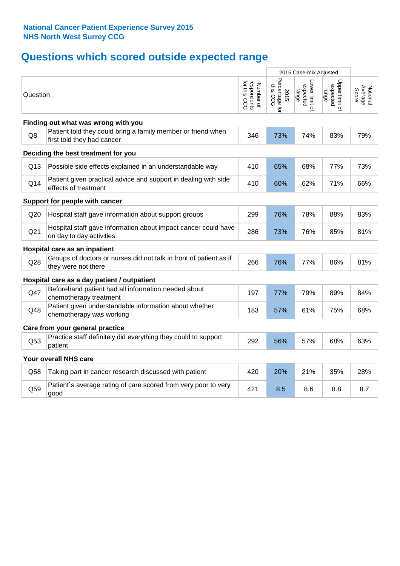## **Questions which scored outside expected range**

|                                     |                                                                                            |                                          | 2015 Case-mix Adjusted             |                                     |                                     |                              |
|-------------------------------------|--------------------------------------------------------------------------------------------|------------------------------------------|------------------------------------|-------------------------------------|-------------------------------------|------------------------------|
| Question                            |                                                                                            | respondents<br>for this CCG<br>Number of | Percentage for<br>this CCG<br>2015 | Lower limit of<br>expected<br>range | Upper limit of<br>expected<br>range | Average<br>Score<br>National |
|                                     | Finding out what was wrong with you                                                        |                                          |                                    |                                     |                                     |                              |
| Q8                                  | Patient told they could bring a family member or friend when<br>first told they had cancer | 346                                      | 73%                                | 74%                                 | 83%                                 | 79%                          |
| Deciding the best treatment for you |                                                                                            |                                          |                                    |                                     |                                     |                              |
| Q13                                 | Possible side effects explained in an understandable way                                   | 410                                      | 65%                                | 68%                                 | 77%                                 | 73%                          |
| Q14                                 | Patient given practical advice and support in dealing with side<br>effects of treatment    | 410                                      | 60%                                | 62%                                 | 71%                                 | 66%                          |
|                                     | Support for people with cancer                                                             |                                          |                                    |                                     |                                     |                              |
| Q20                                 | Hospital staff gave information about support groups                                       | 299                                      | 76%                                | 78%                                 | 88%                                 | 83%                          |
| Q <sub>21</sub>                     | Hospital staff gave information about impact cancer could have<br>on day to day activities | 286                                      | 73%                                | 76%                                 | 85%                                 | 81%                          |
|                                     | Hospital care as an inpatient                                                              |                                          |                                    |                                     |                                     |                              |
| Q28                                 | Groups of doctors or nurses did not talk in front of patient as if<br>they were not there  | 266                                      | 76%                                | 77%                                 | 86%                                 | 81%                          |
|                                     | Hospital care as a day patient / outpatient                                                |                                          |                                    |                                     |                                     |                              |
| Q47                                 | Beforehand patient had all information needed about<br>chemotherapy treatment              | 197                                      | 77%                                | 79%                                 | 89%                                 | 84%                          |
| Q48                                 | Patient given understandable information about whether<br>chemotherapy was working         | 183                                      | 57%                                | 61%                                 | 75%                                 | 68%                          |
|                                     | Care from your general practice                                                            |                                          |                                    |                                     |                                     |                              |
| Q53                                 | Practice staff definitely did everything they could to support<br>patient                  | 292                                      | 56%                                | 57%                                 | 68%                                 | 63%                          |
|                                     | Your overall NHS care                                                                      |                                          |                                    |                                     |                                     |                              |
| Q58                                 | Taking part in cancer research discussed with patient                                      | 420                                      | 20%                                | 21%                                 | 35%                                 | 28%                          |
| Q59                                 | Patient's average rating of care scored from very poor to very<br>good                     | 421                                      | 8.5                                | 8.6                                 | 8.8                                 | 8.7                          |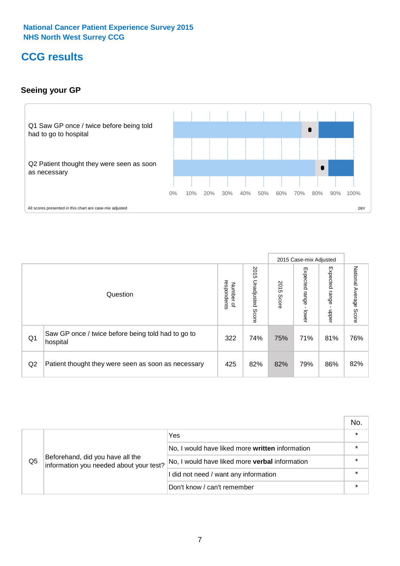### **CCG results**

#### **Seeing your GP**



|    |                                                                |                                         |                             |               | 2015 Case-mix Adjusted     |                            |                           |
|----|----------------------------------------------------------------|-----------------------------------------|-----------------------------|---------------|----------------------------|----------------------------|---------------------------|
|    | Question                                                       | respondents<br>Number<br>$\overline{a}$ | 2015<br>Unadjusted<br>Score | 2015<br>Score | Expected<br>range<br>lower | Expected<br>range<br>nbber | National Average<br>Score |
| Q1 | Saw GP once / twice before being told had to go to<br>hospital | 322                                     | 74%                         | 75%           | 71%                        | 81%                        | 76%                       |
| Q2 | Patient thought they were seen as soon as necessary            | 425                                     | 82%                         | 82%           | 79%                        | 86%                        | 82%                       |

|    |                                                                             |                                                 | No. |
|----|-----------------------------------------------------------------------------|-------------------------------------------------|-----|
|    |                                                                             | Yes                                             |     |
|    | Beforehand, did you have all the<br>information you needed about your test? | No, I would have liked more written information |     |
| Q5 |                                                                             | No, I would have liked more verbal information  |     |
|    |                                                                             | I did not need / want any information           |     |
|    |                                                                             | Don't know / can't remember                     |     |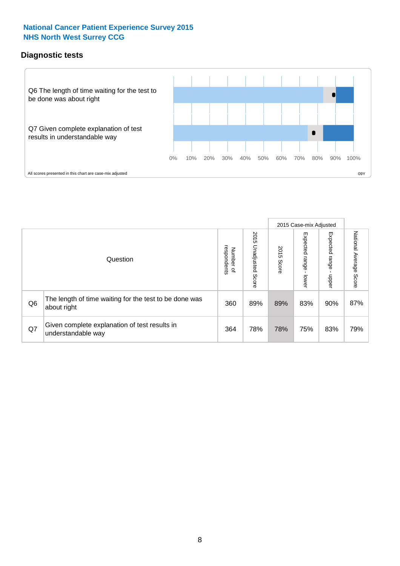#### **Diagnostic tests**



|                |                                                                       |                          |                             |               | 2015 Case-mix Adjusted  |                         |                           |
|----------------|-----------------------------------------------------------------------|--------------------------|-----------------------------|---------------|-------------------------|-------------------------|---------------------------|
|                | Question                                                              | Number of<br>respondents | 2015<br>Unadjusted<br>Score | 2015<br>Score | Expected range<br>lower | Expected range<br>nbber | National Average<br>Score |
| Q <sub>6</sub> | The length of time waiting for the test to be done was<br>about right | 360                      | 89%                         | 89%           | 83%                     | 90%                     | 87%                       |
| Q7             | Given complete explanation of test results in<br>understandable way   | 364                      | 78%                         | 78%           | 75%                     | 83%                     | 79%                       |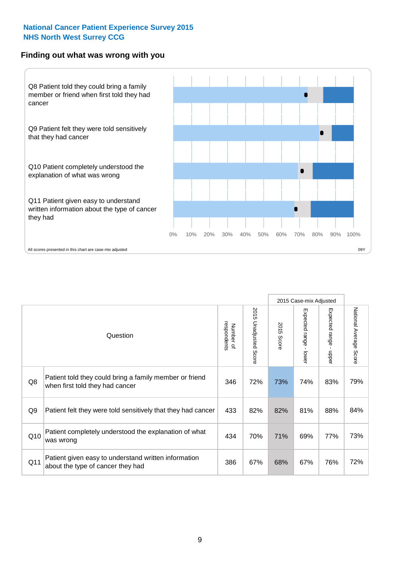#### **Finding out what was wrong with you**



|     |                                                                                            |                          |                          |               | 2015 Case-mix Adjusted      |                                           |                                  |
|-----|--------------------------------------------------------------------------------------------|--------------------------|--------------------------|---------------|-----------------------------|-------------------------------------------|----------------------------------|
|     | Question                                                                                   | respondents<br>Number of | 2015<br>Unadjusted Score | 2015<br>Score | Expected range -<br>- lower | Expected range<br>$\blacksquare$<br>nbber | National Average<br><b>Score</b> |
| Q8  | Patient told they could bring a family member or friend<br>when first told they had cancer | 346                      | 72%                      | 73%           | 74%                         | 83%                                       | 79%                              |
| Q9  | Patient felt they were told sensitively that they had cancer                               | 433                      | 82%                      | 82%           | 81%                         | 88%                                       | 84%                              |
| Q10 | Patient completely understood the explanation of what<br>was wrong                         | 434                      | 70%                      | 71%           | 69%                         | 77%                                       | 73%                              |
| Q11 | Patient given easy to understand written information<br>about the type of cancer they had  | 386                      | 67%                      | 68%           | 67%                         | 76%                                       | 72%                              |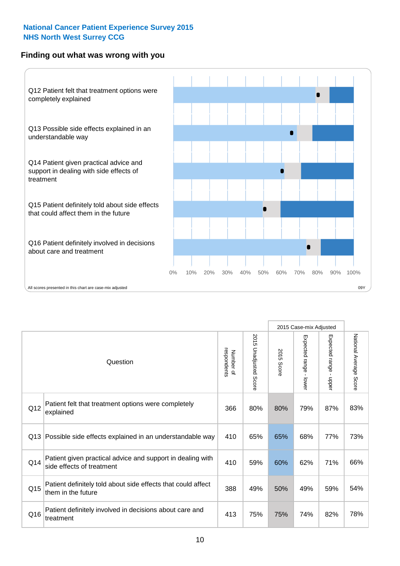#### **Finding out what was wrong with you**



|     |                                                                                         |                          |                          |               | 2015 Case-mix Adjusted                  |                           |                        |
|-----|-----------------------------------------------------------------------------------------|--------------------------|--------------------------|---------------|-----------------------------------------|---------------------------|------------------------|
|     | Question                                                                                | Number of<br>respondents | 2015<br>Unadjusted Score | 2015<br>Score | Expected range<br>$\mathbf{I}$<br>lower | Expected range -<br>nbber | National Average Score |
| Q12 | Patient felt that treatment options were completely<br>explained                        | 366                      | 80%                      | 80%           | 79%                                     | 87%                       | 83%                    |
| Q13 | Possible side effects explained in an understandable way                                | 410                      | 65%                      | 65%           | 68%                                     | 77%                       | 73%                    |
| Q14 | Patient given practical advice and support in dealing with<br>side effects of treatment | 410                      | 59%                      | 60%           | 62%                                     | 71%                       | 66%                    |
| Q15 | Patient definitely told about side effects that could affect<br>them in the future      | 388                      | 49%                      | 50%           | 49%                                     | 59%                       | 54%                    |
| Q16 | Patient definitely involved in decisions about care and<br>treatment                    | 413                      | 75%                      | 75%           | 74%                                     | 82%                       | 78%                    |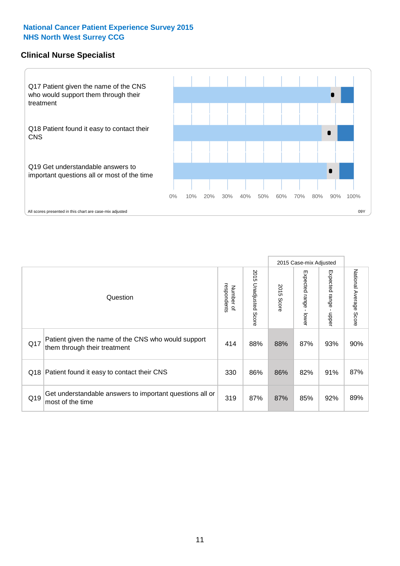#### **Clinical Nurse Specialist**



|     |                                                                                     |                          |                       |               | 2015 Case-mix Adjusted  |                         |                                  |
|-----|-------------------------------------------------------------------------------------|--------------------------|-----------------------|---------------|-------------------------|-------------------------|----------------------------------|
|     | Question                                                                            | respondents<br>Number of | 2015 Unadjusted Score | 2015<br>Score | Expected range<br>lower | Expected range<br>nbber | National Average<br><b>Score</b> |
| Q17 | Patient given the name of the CNS who would support<br>them through their treatment | 414                      | 88%                   | 88%           | 87%                     | 93%                     | 90%                              |
| Q18 | Patient found it easy to contact their CNS                                          | 330                      | 86%                   | 86%           | 82%                     | 91%                     | 87%                              |
| Q19 | Get understandable answers to important questions all or<br>most of the time        | 319                      | 87%                   | 87%           | 85%                     | 92%                     | 89%                              |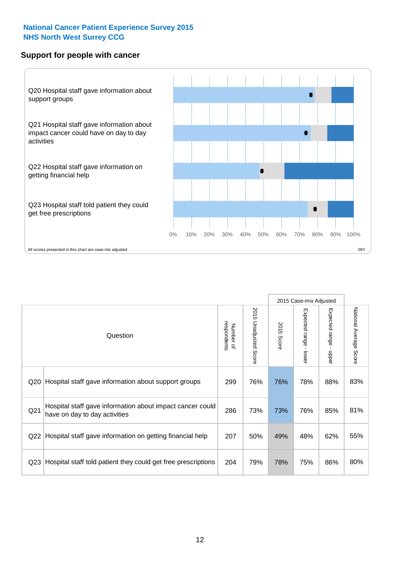#### **Support for people with cancer**



|                 |                                                                                            |                          |                             |               | 2015 Case-mix Adjusted  |                                           |                        |
|-----------------|--------------------------------------------------------------------------------------------|--------------------------|-----------------------------|---------------|-------------------------|-------------------------------------------|------------------------|
|                 | Question                                                                                   | respondents<br>Number of | 2015<br>Unadjusted<br>Score | 2015<br>Score | Expected range<br>lower | Expected range<br>$\blacksquare$<br>nbber | National Average Score |
| Q <sub>20</sub> | Hospital staff gave information about support groups                                       | 299                      | 76%                         | 76%           | 78%                     | 88%                                       | 83%                    |
| Q <sub>21</sub> | Hospital staff gave information about impact cancer could<br>have on day to day activities | 286                      | 73%                         | 73%           | 76%                     | 85%                                       | 81%                    |
| Q22             | Hospital staff gave information on getting financial help                                  | 207                      | 50%                         | 49%           | 48%                     | 62%                                       | 55%                    |
| Q <sub>23</sub> | Hospital staff told patient they could get free prescriptions                              | 204                      | 79%                         | 78%           | 75%                     | 86%                                       | 80%                    |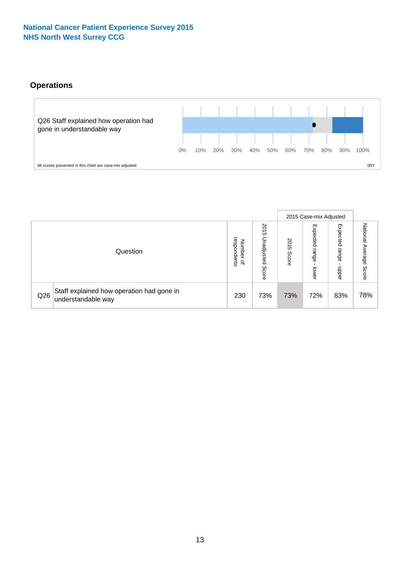#### **Operations**



|     |                                                                 |                                              |                             |                   | 2015 Case-mix Adjusted     |                            |                              |
|-----|-----------------------------------------------------------------|----------------------------------------------|-----------------------------|-------------------|----------------------------|----------------------------|------------------------------|
|     | Question                                                        | respondents<br>Number<br>$\overline{\sigma}$ | 2015<br>Unadjusted<br>Score | 201<br>c<br>Score | Expected<br>range<br>lower | Expected<br>range<br>doper | National<br>Average<br>Score |
| Q26 | Staff explained how operation had gone in<br>understandable way | 230                                          | 73%                         | 73%               | 72%                        | 83%                        | 78%                          |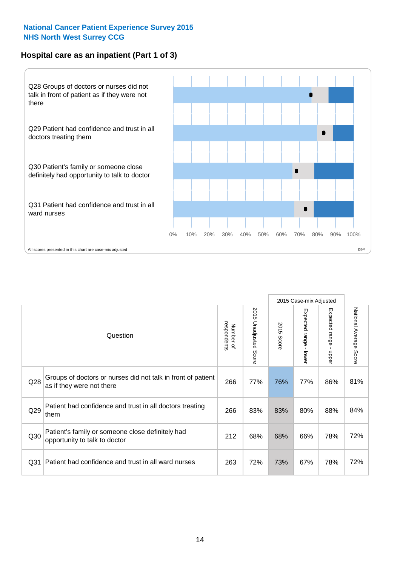#### **Hospital care as an inpatient (Part 1 of 3)**



All scores presented in this chart are case-mix adjusted  $09Y$ 

|                 |                                                                                           |                          |                                 |                      | 2015 Case-mix Adjusted                    |                                           |                        |
|-----------------|-------------------------------------------------------------------------------------------|--------------------------|---------------------------------|----------------------|-------------------------------------------|-------------------------------------------|------------------------|
|                 | Question                                                                                  | respondents<br>Number of | 2015<br><b>Unadjusted Score</b> | 2015<br><b>Score</b> | Expected range<br>$\blacksquare$<br>lower | Expected range<br>$\blacksquare$<br>nbber | National Average Score |
| Q28             | Groups of doctors or nurses did not talk in front of patient<br>as if they were not there | 266                      | 77%                             | 76%                  | 77%                                       | 86%                                       | 81%                    |
| Q29             | Patient had confidence and trust in all doctors treating<br>them                          | 266                      | 83%                             | 83%                  | 80%                                       | 88%                                       | 84%                    |
| Q30             | Patient's family or someone close definitely had<br>opportunity to talk to doctor         | 212                      | 68%                             | 68%                  | 66%                                       | 78%                                       | 72%                    |
| Q <sub>31</sub> | Patient had confidence and trust in all ward nurses                                       | 263                      | 72%                             | 73%                  | 67%                                       | 78%                                       | 72%                    |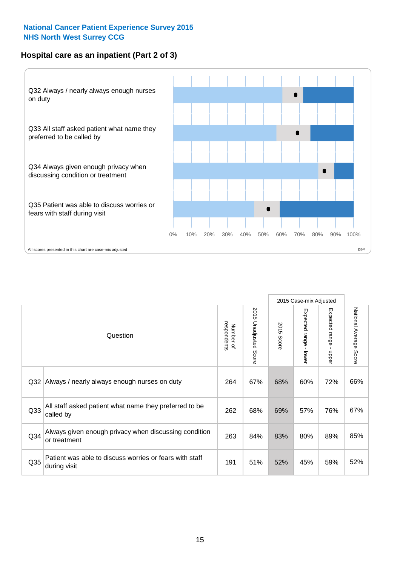#### **Hospital care as an inpatient (Part 2 of 3)**



|                 |                                                                         |                          |                          |               | 2015 Case-mix Adjusted    |                                         |                        |
|-----------------|-------------------------------------------------------------------------|--------------------------|--------------------------|---------------|---------------------------|-----------------------------------------|------------------------|
|                 | Question                                                                | respondents<br>Number of | 2015 Unadjusted<br>Score | 2015<br>Score | Expected range<br>- lower | Expected range<br>$\mathbf{I}$<br>nbber | National Average Score |
| Q32             | Always / nearly always enough nurses on duty                            | 264                      | 67%                      | 68%           | 60%                       | 72%                                     | 66%                    |
| Q <sub>33</sub> | All staff asked patient what name they preferred to be<br>called by     | 262                      | 68%                      | 69%           | 57%                       | 76%                                     | 67%                    |
| Q34             | Always given enough privacy when discussing condition<br>or treatment   | 263                      | 84%                      | 83%           | 80%                       | 89%                                     | 85%                    |
| Q35             | Patient was able to discuss worries or fears with staff<br>during visit | 191                      | 51%                      | 52%           | 45%                       | 59%                                     | 52%                    |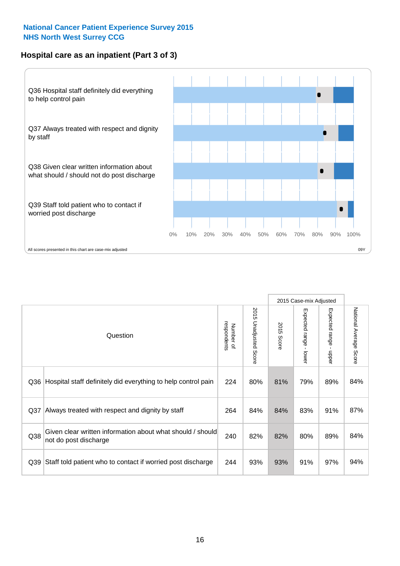#### **Hospital care as an inpatient (Part 3 of 3)**



|     |                                                                                     |                          |                                 |               | 2015 Case-mix Adjusted  |                                           |                        |
|-----|-------------------------------------------------------------------------------------|--------------------------|---------------------------------|---------------|-------------------------|-------------------------------------------|------------------------|
|     | Question                                                                            | respondents<br>Number of | 2015<br><b>Unadjusted Score</b> | 2015<br>Score | Expected range<br>lower | Expected range<br>$\blacksquare$<br>nbber | National Average Score |
| Q36 | Hospital staff definitely did everything to help control pain                       | 224                      | 80%                             | 81%           | 79%                     | 89%                                       | 84%                    |
| Q37 | Always treated with respect and dignity by staff                                    | 264                      | 84%                             | 84%           | 83%                     | 91%                                       | 87%                    |
| Q38 | Given clear written information about what should / should<br>not do post discharge | 240                      | 82%                             | 82%           | 80%                     | 89%                                       | 84%                    |
| Q39 | Staff told patient who to contact if worried post discharge                         | 244                      | 93%                             | 93%           | 91%                     | 97%                                       | 94%                    |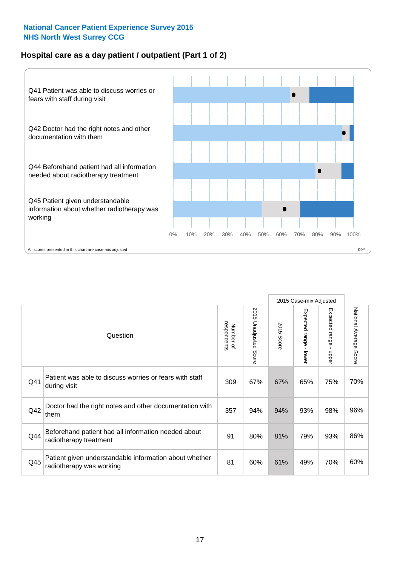#### **Hospital care as a day patient / outpatient (Part 1 of 2)**



|     |                                                                                    |                          |                          |               | 2015 Case-mix Adjusted                  |                                         |                        |
|-----|------------------------------------------------------------------------------------|--------------------------|--------------------------|---------------|-----------------------------------------|-----------------------------------------|------------------------|
|     | Question                                                                           | respondents<br>Number of | 2015<br>Unadjusted Score | 2015<br>Score | Expected range<br>$\mathbf{r}$<br>lower | Expected range<br>$\mathbf{I}$<br>nbber | National Average Score |
| Q41 | Patient was able to discuss worries or fears with staff<br>during visit            | 309                      | 67%                      | 67%           | 65%                                     | 75%                                     | 70%                    |
| Q42 | Doctor had the right notes and other documentation with<br>them                    | 357                      | 94%                      | 94%           | 93%                                     | 98%                                     | 96%                    |
| Q44 | Beforehand patient had all information needed about<br>radiotherapy treatment      | 91                       | 80%                      | 81%           | 79%                                     | 93%                                     | 86%                    |
| Q45 | Patient given understandable information about whether<br>radiotherapy was working | 81                       | 60%                      | 61%           | 49%                                     | 70%                                     | 60%                    |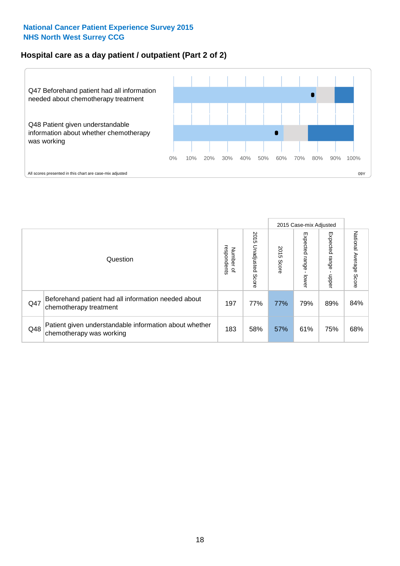#### **Hospital care as a day patient / outpatient (Part 2 of 2)**



|     |                                                                                    |                                       |                             | 2015 Case-mix Adjusted |                              |                         |                           |
|-----|------------------------------------------------------------------------------------|---------------------------------------|-----------------------------|------------------------|------------------------------|-------------------------|---------------------------|
|     | Question                                                                           | respondents<br>Number<br>$\mathbf{Q}$ | 2015<br>Unadjusted<br>Score | 2015<br>Score          | Expected<br>I range<br>lower | Expected range<br>doper | National Average<br>Score |
| Q47 | Beforehand patient had all information needed about<br>chemotherapy treatment      | 197                                   | 77%                         | 77%                    | 79%                          | 89%                     | 84%                       |
| Q48 | Patient given understandable information about whether<br>chemotherapy was working | 183                                   | 58%                         | 57%                    | 61%                          | 75%                     | 68%                       |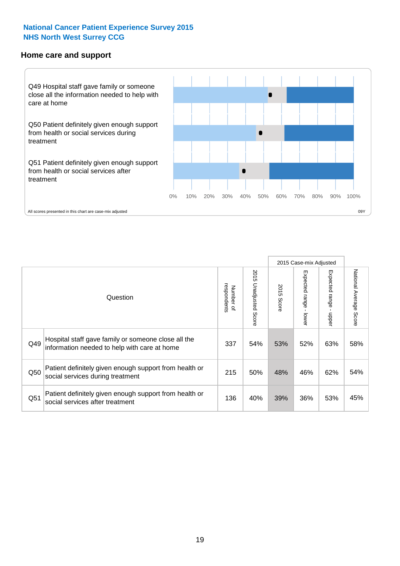#### **Home care and support**



All scores presented in this chart are case-mix adjusted

|                 |                                                                                                     |                          |                       | 2015 Case-mix Adjusted |                         |                         |                                  |
|-----------------|-----------------------------------------------------------------------------------------------------|--------------------------|-----------------------|------------------------|-------------------------|-------------------------|----------------------------------|
|                 | Question                                                                                            | respondents<br>Number of | 2015 Unadjusted Score | 2015<br>Score          | Expected range<br>lower | Expected range<br>nbber | National Average<br><b>Score</b> |
| Q49             | Hospital staff gave family or someone close all the<br>information needed to help with care at home | 337                      | 54%                   | 53%                    | 52%                     | 63%                     | 58%                              |
| Q50             | Patient definitely given enough support from health or<br>social services during treatment          | 215                      | 50%                   | 48%                    | 46%                     | 62%                     | 54%                              |
| Q <sub>51</sub> | Patient definitely given enough support from health or<br>social services after treatment           | 136                      | 40%                   | 39%                    | 36%                     | 53%                     | 45%                              |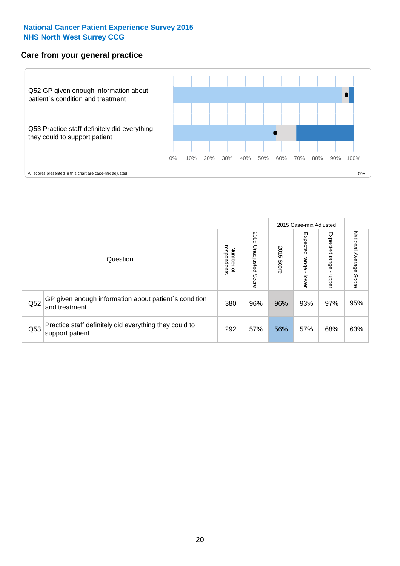#### **Care from your general practice**



|     |                                                                           |                                       |                             | 2015 Case-mix Adjusted |                              |                         |                           |
|-----|---------------------------------------------------------------------------|---------------------------------------|-----------------------------|------------------------|------------------------------|-------------------------|---------------------------|
|     | Question                                                                  | respondents<br>Number<br>$\mathbf{Q}$ | 2015<br>Unadjusted<br>Score | 2015<br>Score          | Expected<br>I range<br>lower | Expected range<br>doper | National Average<br>Score |
| Q52 | GP given enough information about patient's condition<br>and treatment    | 380                                   | 96%                         | 96%                    | 93%                          | 97%                     | 95%                       |
| Q53 | Practice staff definitely did everything they could to<br>support patient | 292                                   | 57%                         | 56%                    | 57%                          | 68%                     | 63%                       |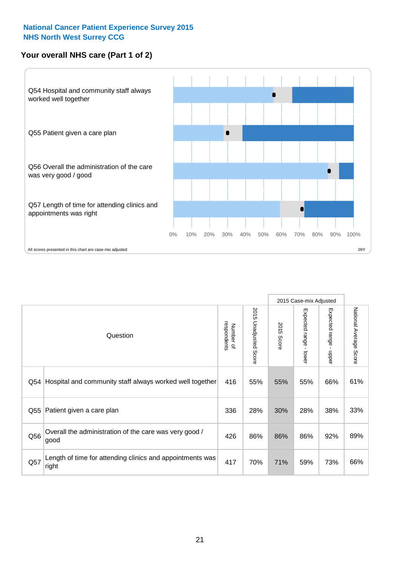#### **Your overall NHS care (Part 1 of 2)**



|     |                                                                    |                          |                          | 2015 Case-mix Adjusted |                         |                                           |                        |
|-----|--------------------------------------------------------------------|--------------------------|--------------------------|------------------------|-------------------------|-------------------------------------------|------------------------|
|     | Question                                                           | respondents<br>Number of | 2015<br>Unadjusted Score | 2015<br><b>Score</b>   | Expected range<br>lower | Expected range<br>$\blacksquare$<br>nbber | National Average Score |
| Q54 | Hospital and community staff always worked well together           | 416                      | 55%                      | 55%                    | 55%                     | 66%                                       | 61%                    |
| Q55 | Patient given a care plan                                          | 336                      | 28%                      | 30%                    | 28%                     | 38%                                       | 33%                    |
| Q56 | Overall the administration of the care was very good /<br>good     | 426                      | 86%                      | 86%                    | 86%                     | 92%                                       | 89%                    |
| Q57 | Length of time for attending clinics and appointments was<br>right | 417                      | 70%                      | 71%                    | 59%                     | 73%                                       | 66%                    |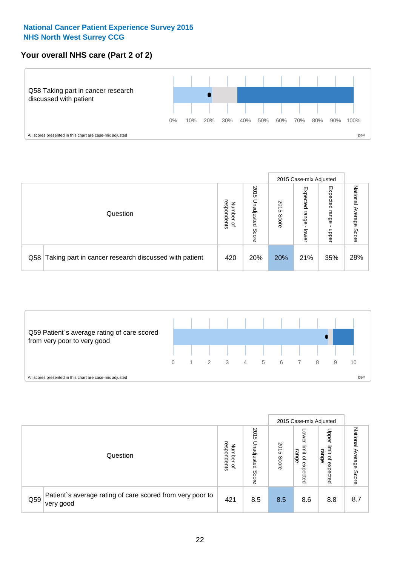#### **Your overall NHS care (Part 2 of 2)**



|     |                                                       |                                              |                             |               |                            | 2015 Case-mix Adjusted     |                        |
|-----|-------------------------------------------------------|----------------------------------------------|-----------------------------|---------------|----------------------------|----------------------------|------------------------|
|     | Question                                              | respondents<br>Number<br>$\overline{\sigma}$ | 2015<br>Unadjusted<br>Score | 2015<br>Score | Expected<br>range<br>lower | Expected<br>range<br>doper | National Average Score |
| Q58 | Taking part in cancer research discussed with patient | 420                                          | 20%                         | 20%           | 21%                        | 35%                        | 28%                    |



|     |                                                                        |                                              |                             |               |                                                    | 2015 Case-mix Adjusted                                |                                     |
|-----|------------------------------------------------------------------------|----------------------------------------------|-----------------------------|---------------|----------------------------------------------------|-------------------------------------------------------|-------------------------------------|
|     | Question                                                               | respondents<br>Number<br>$\overline{\sigma}$ | 2015<br>Unadjusted<br>Score | 2015<br>Score | OWer<br>limit<br>range<br>$\mathbf{a}$<br>expected | Upper<br>limit<br>range<br>$\overline{a}$<br>expected | National<br>Average<br><b>Score</b> |
| Q59 | Patient's average rating of care scored from very poor to<br>very good | 421                                          | 8.5                         | 8.5           | 8.6                                                | 8.8                                                   | 8.7                                 |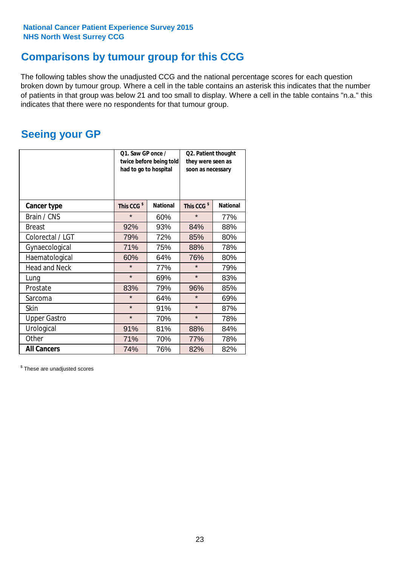### **Comparisons by tumour group for this CCG**

The following tables show the unadjusted CCG and the national percentage scores for each question broken down by tumour group. Where a cell in the table contains an asterisk this indicates that the number of patients in that group was below 21 and too small to display. Where a cell in the table contains "n.a." this indicates that there were no respondents for that tumour group.

### **Seeing your GP**

|                      | Q1. Saw GP once /<br>had to go to hospital | twice before being told | Q2. Patient thought<br>they were seen as<br>soon as necessary |                 |  |
|----------------------|--------------------------------------------|-------------------------|---------------------------------------------------------------|-----------------|--|
| <b>Cancer type</b>   | This CCG <sup>\$</sup>                     | <b>National</b>         | This CCG <sup>\$</sup>                                        | <b>National</b> |  |
| Brain / CNS          | $\star$                                    | 60%                     | $\star$                                                       | 77%             |  |
| <b>Breast</b>        | 92%                                        | 93%                     | 84%                                                           | 88%             |  |
| Colorectal / LGT     | 79%                                        | 72%                     | 85%                                                           | 80%             |  |
| Gynaecological       | 71%                                        | 75%                     | 88%                                                           | 78%             |  |
| Haematological       | 60%                                        | 64%                     | 76%                                                           | 80%             |  |
| <b>Head and Neck</b> | $\star$                                    | 77%                     | $\star$                                                       | 79%             |  |
| Lung                 | $\star$                                    | 69%                     | $\star$                                                       | 83%             |  |
| Prostate             | 83%                                        | 79%                     | 96%                                                           | 85%             |  |
| Sarcoma              | $\star$                                    | 64%                     | $\star$                                                       | 69%             |  |
| <b>Skin</b>          | $\star$                                    | 91%                     | $\star$                                                       | 87%             |  |
| <b>Upper Gastro</b>  | $\star$                                    | 70%                     | $\star$                                                       | 78%             |  |
| Urological           | 91%                                        | 81%                     | 88%                                                           | 84%             |  |
| Other                | 71%                                        | 70%                     | 77%                                                           | 78%             |  |
| <b>All Cancers</b>   | 74%                                        | 76%                     | 82%                                                           | 82%             |  |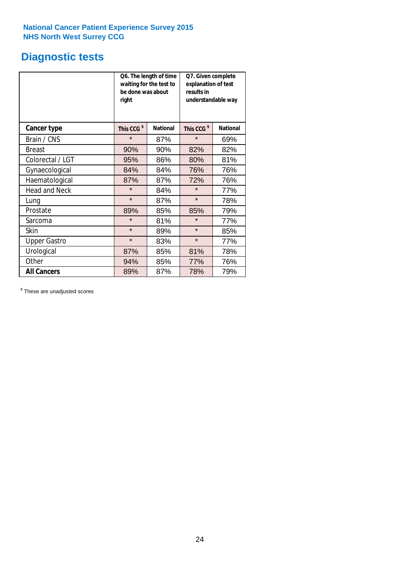### **Diagnostic tests**

|                      | be done was about<br>right | Q6. The length of time<br>waiting for the test to | Q7. Given complete<br>explanation of test<br>results in<br>understandable way |                 |  |  |
|----------------------|----------------------------|---------------------------------------------------|-------------------------------------------------------------------------------|-----------------|--|--|
| <b>Cancer type</b>   | This CCG <sup>\$</sup>     | <b>National</b>                                   | This CCG <sup>\$</sup>                                                        | <b>National</b> |  |  |
| Brain / CNS          | $\star$                    | 87%                                               | $\star$                                                                       | 69%             |  |  |
| <b>Breast</b>        | 90%                        | 90%                                               | 82%                                                                           | 82%             |  |  |
| Colorectal / LGT     | 95%                        | 86%                                               | 80%                                                                           | 81%             |  |  |
| Gynaecological       | 84%                        | 84%                                               | 76%                                                                           | 76%             |  |  |
| Haematological       | 87%                        | 87%                                               | 72%                                                                           | 76%             |  |  |
| <b>Head and Neck</b> | $\star$                    | 84%                                               | $\star$                                                                       | 77%             |  |  |
| Lung                 | $\star$                    | 87%                                               | $\star$                                                                       | 78%             |  |  |
| Prostate             | 89%                        | 85%                                               | 85%                                                                           | 79%             |  |  |
| Sarcoma              | $\star$                    | 81%                                               | $\star$                                                                       | 77%             |  |  |
| Skin                 | $\star$                    | 89%                                               | $\star$                                                                       | 85%             |  |  |
| <b>Upper Gastro</b>  | $\star$                    | 83%                                               | $\star$                                                                       | 77%             |  |  |
| Urological           | 87%                        | 85%                                               | 81%                                                                           | 78%             |  |  |
| Other                | 94%                        | 85%                                               | 77%                                                                           | 76%             |  |  |
| <b>All Cancers</b>   | 89%                        | 87%                                               | 78%                                                                           | 79%             |  |  |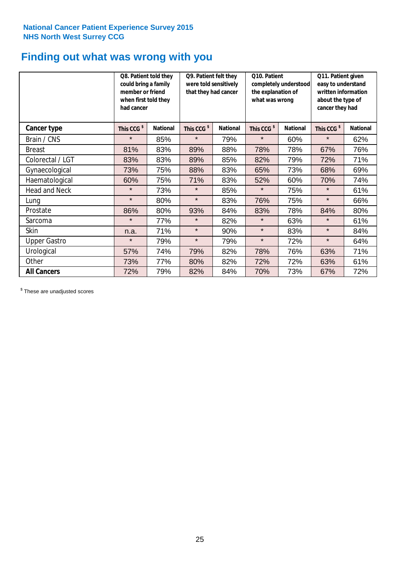## **Finding out what was wrong with you**

|                      | Q8. Patient told they<br>could bring a family<br>member or friend<br>when first told they<br>had cancer |                 | Q9. Patient felt they<br>were told sensitively<br>that they had cancer |                 | Q10. Patient<br>completely understood<br>the explanation of<br>what was wrong |                 | Q11. Patient given<br>easy to understand<br>written information<br>about the type of<br>cancer they had |                 |
|----------------------|---------------------------------------------------------------------------------------------------------|-----------------|------------------------------------------------------------------------|-----------------|-------------------------------------------------------------------------------|-----------------|---------------------------------------------------------------------------------------------------------|-----------------|
| Cancer type          | This CCG <sup>\$</sup>                                                                                  | <b>National</b> | This CCG <sup>\$</sup>                                                 | <b>National</b> | This CCG <sup>\$</sup>                                                        | <b>National</b> | This CCG <sup>\$</sup>                                                                                  | <b>National</b> |
| Brain / CNS          | $\star$                                                                                                 | 85%             | $\star$                                                                | 79%             | $\star$                                                                       | 60%             | $\star$                                                                                                 | 62%             |
| <b>Breast</b>        | 81%                                                                                                     | 83%             | 89%                                                                    | 88%             | 78%                                                                           | 78%             | 67%                                                                                                     | 76%             |
| Colorectal / LGT     | 83%                                                                                                     | 83%             | 89%                                                                    | 85%             | 82%                                                                           | 79%             | 72%                                                                                                     | 71%             |
| Gynaecological       | 73%                                                                                                     | 75%             | 88%                                                                    | 83%             | 65%                                                                           | 73%             | 68%                                                                                                     | 69%             |
| Haematological       | 60%                                                                                                     | 75%             | 71%                                                                    | 83%             | 52%                                                                           | 60%             | 70%                                                                                                     | 74%             |
| <b>Head and Neck</b> | $\star$                                                                                                 | 73%             | $\star$                                                                | 85%             | $\star$                                                                       | 75%             | $\star$                                                                                                 | 61%             |
| Lung                 | $\star$                                                                                                 | 80%             | $\star$                                                                | 83%             | 76%                                                                           | 75%             | $\star$                                                                                                 | 66%             |
| Prostate             | 86%                                                                                                     | 80%             | 93%                                                                    | 84%             | 83%                                                                           | 78%             | 84%                                                                                                     | 80%             |
| Sarcoma              | $\star$                                                                                                 | 77%             | $\star$                                                                | 82%             | $\star$                                                                       | 63%             | $\star$                                                                                                 | 61%             |
| Skin                 | n.a.                                                                                                    | 71%             | $\star$                                                                | 90%             | $\star$                                                                       | 83%             | $\star$                                                                                                 | 84%             |
| <b>Upper Gastro</b>  | $\star$                                                                                                 | 79%             | $\star$                                                                | 79%             | $\star$                                                                       | 72%             | $\star$                                                                                                 | 64%             |
| Urological           | 57%                                                                                                     | 74%             | 79%                                                                    | 82%             | 78%                                                                           | 76%             | 63%                                                                                                     | 71%             |
| Other                | 73%                                                                                                     | 77%             | 80%                                                                    | 82%             | 72%                                                                           | 72%             | 63%                                                                                                     | 61%             |
| <b>All Cancers</b>   | 72%                                                                                                     | 79%             | 82%                                                                    | 84%             | 70%                                                                           | 73%             | 67%                                                                                                     | 72%             |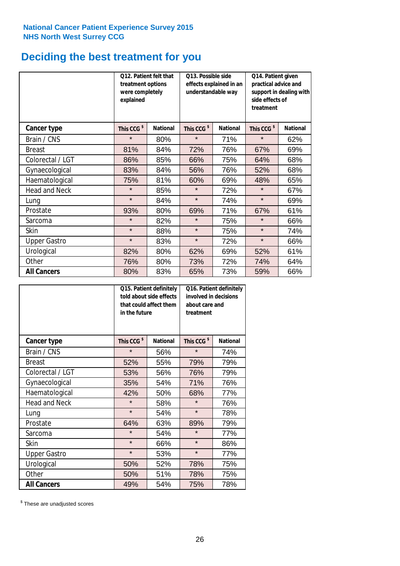### **Deciding the best treatment for you**

|                      | 012. Patient felt that<br>treatment options<br>were completely<br>explained |                 | O13. Possible side<br>understandable way | effects explained in an | Q14. Patient given<br>practical advice and<br>support in dealing with<br>side effects of<br>treatment |                 |  |
|----------------------|-----------------------------------------------------------------------------|-----------------|------------------------------------------|-------------------------|-------------------------------------------------------------------------------------------------------|-----------------|--|
| <b>Cancer type</b>   | This CCG <sup>\$</sup>                                                      | <b>National</b> | This CCG <sup>\$</sup>                   | <b>National</b>         | This CCG <sup>\$</sup>                                                                                | <b>National</b> |  |
| Brain / CNS          | $\star$                                                                     | 80%             | $\star$                                  | 71%                     | $\star$                                                                                               | 62%             |  |
| <b>Breast</b>        | 81%                                                                         | 84%             | 72%                                      | 76%                     | 67%                                                                                                   | 69%             |  |
| Colorectal / LGT     | 86%                                                                         | 85%             | 66%                                      | 75%                     | 64%                                                                                                   | 68%             |  |
| Gynaecological       | 83%                                                                         | 84%             | 56%                                      | 76%                     | 52%                                                                                                   | 68%             |  |
| Haematological       | 75%                                                                         | 81%             | 60%                                      | 69%                     | 48%                                                                                                   | 65%             |  |
| <b>Head and Neck</b> | $\star$                                                                     | 85%             | $\star$                                  | 72%                     | $\star$                                                                                               | 67%             |  |
| Lung                 | $\star$                                                                     | 84%             | $\star$                                  | 74%                     | $\star$                                                                                               | 69%             |  |
| Prostate             | 93%                                                                         | 80%             | 69%                                      | 71%                     | 67%                                                                                                   | 61%             |  |
| Sarcoma              | $\star$                                                                     | 82%             | $\star$                                  | 75%                     | $\star$                                                                                               | 66%             |  |
| Skin                 | $\star$                                                                     | 88%             | $\star$                                  | 75%                     | $\star$                                                                                               | 74%             |  |
| <b>Upper Gastro</b>  | $\star$                                                                     | 83%             | $\star$                                  | 72%                     | $\star$                                                                                               | 66%             |  |
| Urological           | 82%                                                                         | 80%             | 62%                                      | 69%                     | 52%                                                                                                   | 61%             |  |
| Other                | 76%                                                                         | 80%             | 73%                                      | 72%                     | 74%                                                                                                   | 64%             |  |
| <b>All Cancers</b>   | 80%                                                                         | 83%             | 65%                                      | 73%                     | 59%                                                                                                   | 66%             |  |

|                      | in the future          | Q15. Patient definitely<br>told about side effects<br>that could affect them | Q16. Patient definitely<br>involved in decisions<br>about care and<br>treatment |                 |  |
|----------------------|------------------------|------------------------------------------------------------------------------|---------------------------------------------------------------------------------|-----------------|--|
| <b>Cancer type</b>   | This CCG <sup>\$</sup> | <b>National</b>                                                              | This CCG <sup>\$</sup>                                                          | <b>National</b> |  |
| Brain / CNS          | $\star$                | 56%                                                                          | $\star$                                                                         | 74%             |  |
| <b>Breast</b>        | 52%                    | 55%                                                                          | 79%                                                                             | 79%             |  |
| Colorectal / LGT     | 53%                    | 56%                                                                          | 76%                                                                             | 79%             |  |
| Gynaecological       | 35%                    | 54%                                                                          |                                                                                 | 76%             |  |
| Haematological       | 42%<br>50%             |                                                                              | 68%                                                                             | 77%             |  |
| <b>Head and Neck</b> | $\star$                | 58%                                                                          | $\star$                                                                         | 76%             |  |
| Lung                 | $\star$                | 54%                                                                          | $\star$                                                                         | 78%             |  |
| Prostate             | 64%                    | 63%                                                                          | 89%                                                                             | 79%             |  |
| Sarcoma              | $\star$                | 54%                                                                          | $\star$                                                                         | 77%             |  |
| <b>Skin</b>          | $\star$                | 66%                                                                          | $\star$                                                                         | 86%             |  |
| <b>Upper Gastro</b>  | $\star$                | 53%                                                                          | $\star$                                                                         | 77%             |  |
| Urological           | 50%                    | 52%                                                                          | 78%                                                                             | 75%             |  |
| Other                | 50%                    | 51%                                                                          | 78%                                                                             | 75%             |  |
| <b>All Cancers</b>   | 49%                    | 54%                                                                          | 75%                                                                             | 78%             |  |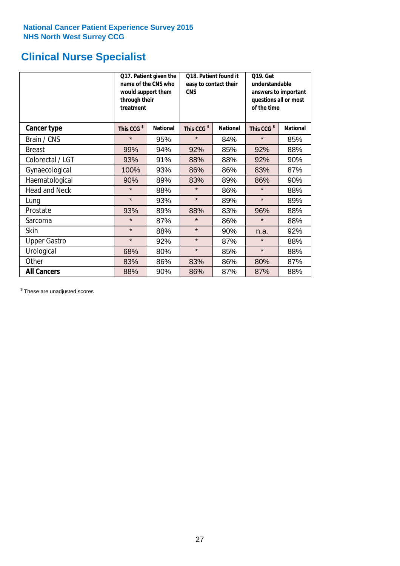### **Clinical Nurse Specialist**

|                      | would support them<br>through their<br>treatment | Q17. Patient given the<br>name of the CNS who | Q18. Patient found it<br>easy to contact their<br><b>CNS</b> |     | <b>Q19. Get</b><br>understandable<br>answers to important<br>questions all or most<br>of the time |                 |
|----------------------|--------------------------------------------------|-----------------------------------------------|--------------------------------------------------------------|-----|---------------------------------------------------------------------------------------------------|-----------------|
| <b>Cancer type</b>   | This CCG <sup>\$</sup>                           | <b>National</b>                               | This CCG <sup>\$</sup><br><b>National</b>                    |     | This CCG <sup>\$</sup>                                                                            | <b>National</b> |
| Brain / CNS          | $\star$                                          | 95%                                           | $\star$                                                      | 84% | $\star$                                                                                           | 85%             |
| <b>Breast</b>        | 99%                                              | 94%                                           | 92%                                                          | 85% | 92%                                                                                               | 88%             |
| Colorectal / LGT     | 93%                                              | 91%                                           | 88%                                                          | 88% | 92%                                                                                               | 90%             |
| Gynaecological       | 100%                                             | 93%                                           | 86%                                                          | 86% | 83%                                                                                               | 87%             |
| Haematological       | 90%                                              | 89%                                           | 83%                                                          | 89% | 86%                                                                                               | 90%             |
| <b>Head and Neck</b> | $\star$                                          | 88%                                           | $\star$                                                      | 86% | $\star$                                                                                           | 88%             |
| Lung                 | $\star$                                          | 93%                                           | $\star$                                                      | 89% | $\star$                                                                                           | 89%             |
| Prostate             | 93%                                              | 89%                                           | 88%                                                          | 83% | 96%                                                                                               | 88%             |
| Sarcoma              | $\star$                                          | 87%                                           | $\star$                                                      | 86% | $\star$                                                                                           | 88%             |
| Skin                 | $\star$                                          | 88%                                           | $\star$                                                      | 90% | n.a.                                                                                              | 92%             |
| <b>Upper Gastro</b>  | $\star$                                          | 92%                                           | $\star$                                                      | 87% | $\star$                                                                                           | 88%             |
| Urological           | 68%                                              | 80%                                           | $\star$                                                      | 85% | $\star$                                                                                           | 88%             |
| Other                | 83%                                              | 86%                                           | 83%                                                          | 86% | 80%                                                                                               | 87%             |
| <b>All Cancers</b>   | 88%                                              | 90%                                           | 86%                                                          | 87% | 87%                                                                                               | 88%             |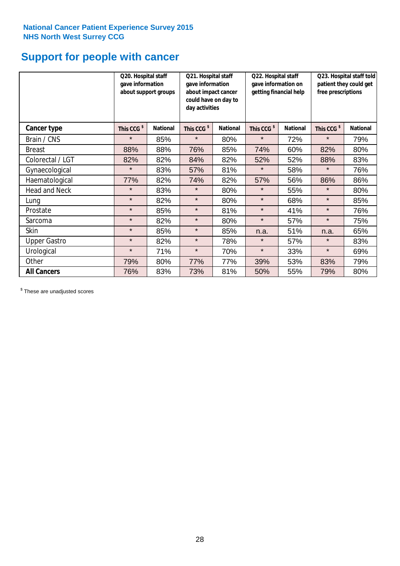### **Support for people with cancer**

|                      | Q20. Hospital staff<br>gave information | about support groups | Q21. Hospital staff<br>gave information<br>about impact cancer<br>could have on day to<br>day activities |                 | Q22. Hospital staff<br>gave information on<br>getting financial help |                 | Q23. Hospital staff told<br>patient they could get<br>free prescriptions |                 |
|----------------------|-----------------------------------------|----------------------|----------------------------------------------------------------------------------------------------------|-----------------|----------------------------------------------------------------------|-----------------|--------------------------------------------------------------------------|-----------------|
| <b>Cancer type</b>   | This CCG <sup>\$</sup>                  | <b>National</b>      | This CCG <sup>\$</sup>                                                                                   | <b>National</b> | This CCG <sup>\$</sup>                                               | <b>National</b> | This CCG <sup>\$</sup>                                                   | <b>National</b> |
| Brain / CNS          | $\star$                                 | 85%                  | $\star$                                                                                                  | 80%             | $\star$                                                              | 72%             | $\star$                                                                  | 79%             |
| <b>Breast</b>        | 88%                                     | 88%                  | 76%                                                                                                      | 85%             | 74%                                                                  | 60%             | 82%                                                                      | 80%             |
| Colorectal / LGT     | 82%                                     | 82%                  | 84%                                                                                                      | 82%             | 52%                                                                  | 52%             | 88%                                                                      | 83%             |
| Gynaecological       | $\star$                                 | 83%                  | 57%                                                                                                      | 81%             | $\star$                                                              | 58%             | $\star$                                                                  | 76%             |
| Haematological       | 77%                                     | 82%                  | 74%                                                                                                      | 82%             | 57%                                                                  | 56%             | 86%                                                                      | 86%             |
| <b>Head and Neck</b> | $\star$                                 | 83%                  | $\star$                                                                                                  | 80%             | $\star$                                                              | 55%             | $\star$                                                                  | 80%             |
| Lung                 | $\star$                                 | 82%                  | $\star$                                                                                                  | 80%             | $\star$                                                              | 68%             | $\star$                                                                  | 85%             |
| Prostate             | $\star$                                 | 85%                  | $\star$                                                                                                  | 81%             | $\star$                                                              | 41%             | $\star$                                                                  | 76%             |
| Sarcoma              | $\star$                                 | 82%                  | $\star$                                                                                                  | 80%             | $\star$                                                              | 57%             | $\star$                                                                  | 75%             |
| Skin                 | $\star$                                 | 85%                  | $\star$                                                                                                  | 85%             | n.a.                                                                 | 51%             | n.a.                                                                     | 65%             |
| <b>Upper Gastro</b>  | $\star$                                 | 82%                  | $\star$                                                                                                  | 78%             | $\star$                                                              | 57%             | $\star$                                                                  | 83%             |
| Urological           | $\star$                                 | 71%                  | $\star$                                                                                                  | 70%             | $\star$                                                              | 33%             | $\star$                                                                  | 69%             |
| Other                | 79%                                     | 80%                  | 77%                                                                                                      | 77%             | 39%                                                                  | 53%             | 83%                                                                      | 79%             |
| <b>All Cancers</b>   | 76%                                     | 83%                  | 73%                                                                                                      | 81%             | 50%                                                                  | 55%             | 79%                                                                      | 80%             |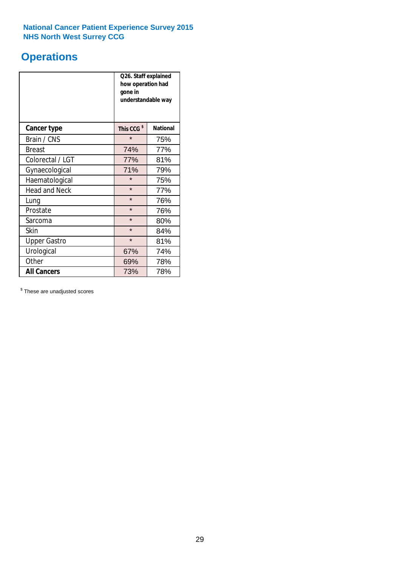### **Operations**

|                      | Q26. Staff explained<br>how operation had<br>gone in<br>understandable way |                 |  |  |  |
|----------------------|----------------------------------------------------------------------------|-----------------|--|--|--|
| <b>Cancer type</b>   | This CCG <sup>\$</sup>                                                     | <b>National</b> |  |  |  |
| Brain / CNS          | $\star$                                                                    | 75%             |  |  |  |
| <b>Breast</b>        | 74%                                                                        | 77%             |  |  |  |
| Colorectal / LGT     | 77%                                                                        | 81%             |  |  |  |
| Gynaecological       | 71%                                                                        | 79%             |  |  |  |
| Haematological       | $\star$                                                                    | 75%             |  |  |  |
| <b>Head and Neck</b> | $\star$                                                                    | 77%             |  |  |  |
| Lung                 | $\star$                                                                    | 76%             |  |  |  |
| Prostate             | $\star$                                                                    | 76%             |  |  |  |
| Sarcoma              | $\star$                                                                    | 80%             |  |  |  |
| Skin                 | $\star$                                                                    | 84%             |  |  |  |
| <b>Upper Gastro</b>  | $\star$                                                                    | 81%             |  |  |  |
| Urological           | 67%                                                                        | 74%             |  |  |  |
| Other                | 69%<br>78%                                                                 |                 |  |  |  |
| <b>All Cancers</b>   | 73%<br>78%                                                                 |                 |  |  |  |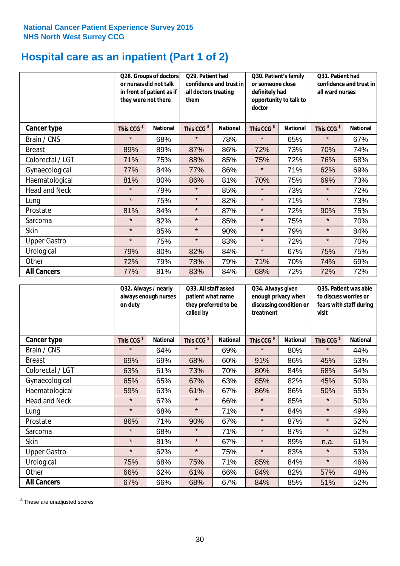### **Hospital care as an inpatient (Part 1 of 2)**

|                      | or nurses did not talk<br>they were not there | Q28. Groups of doctors<br>in front of patient as if | Q29. Patient had<br>confidence and trust in<br>all doctors treating<br>them |                 | Q30. Patient's family<br>or someone close<br>definitely had<br>opportunity to talk to<br>doctor |                 | Q31. Patient had<br>confidence and trust in I<br>all ward nurses |                 |
|----------------------|-----------------------------------------------|-----------------------------------------------------|-----------------------------------------------------------------------------|-----------------|-------------------------------------------------------------------------------------------------|-----------------|------------------------------------------------------------------|-----------------|
| Cancer type          | This CCG <sup>\$</sup>                        | <b>National</b>                                     | This CCG <sup>\$</sup>                                                      | <b>National</b> | This CCG <sup>\$</sup>                                                                          | <b>National</b> | This CCG <sup>\$</sup>                                           | <b>National</b> |
| Brain / CNS          | $\star$                                       | 68%                                                 | $\star$                                                                     | 78%             | $\star$                                                                                         | 65%             | $\star$                                                          | 67%             |
| <b>Breast</b>        | 89%                                           | 89%                                                 | 87%                                                                         | 86%             | 72%                                                                                             | 73%             | 70%                                                              | 74%             |
| Colorectal / LGT     | 71%                                           | 75%                                                 | 88%                                                                         | 85%             | 75%                                                                                             | 72%             | 76%                                                              | 68%             |
| Gynaecological       | 77%                                           | 84%                                                 | 77%                                                                         | 86%             | $\star$                                                                                         | 71%             | 62%                                                              | 69%             |
| Haematological       | 81%                                           | 80%                                                 | 86%                                                                         | 81%             | 70%                                                                                             | 75%             | 69%                                                              | 73%             |
| <b>Head and Neck</b> | $\star$                                       | 79%                                                 | $\star$                                                                     | 85%             | $\star$                                                                                         | 73%             | $\star$                                                          | 72%             |
| Lung                 | $\star$                                       | 75%                                                 | $\star$                                                                     | 82%             | $\star$                                                                                         | 71%             | $\star$                                                          | 73%             |
| Prostate             | 81%                                           | 84%                                                 | $\star$                                                                     | 87%             | $\star$                                                                                         | 72%             | 90%                                                              | 75%             |
| Sarcoma              | $\star$                                       | 82%                                                 | $\star$                                                                     | 85%             | $\star$                                                                                         | 75%             | $\star$                                                          | 70%             |
| Skin                 | $\star$                                       | 85%                                                 | $\star$                                                                     | 90%             | $\star$                                                                                         | 79%             | $\star$                                                          | 84%             |
| <b>Upper Gastro</b>  | $\star$                                       | 75%                                                 | $\star$                                                                     | 83%             | $\star$                                                                                         | 72%             | $\star$                                                          | 70%             |
| Urological           | 79%                                           | 80%                                                 | 82%                                                                         | 84%             | $\star$                                                                                         | 67%             | 75%                                                              | 75%             |
| Other                | 72%                                           | 79%                                                 | 78%                                                                         | 79%             | 71%                                                                                             | 70%             | 74%                                                              | 69%             |
| <b>All Cancers</b>   | 77%                                           | 81%                                                 | 83%                                                                         | 84%             | 68%                                                                                             | 72%             | 72%                                                              | 72%             |

|                      | on duty                | Q32. Always / nearly<br>always enough nurses<br>called by |                        | Q33. All staff asked<br>patient what name<br>they preferred to be | Q34. Always given<br>enough privacy when<br>discussing condition or<br>treatment |                 | Q35. Patient was able<br>to discuss worries or<br>fears with staff during<br>visit |                 |
|----------------------|------------------------|-----------------------------------------------------------|------------------------|-------------------------------------------------------------------|----------------------------------------------------------------------------------|-----------------|------------------------------------------------------------------------------------|-----------------|
| <b>Cancer type</b>   | This CCG <sup>\$</sup> | <b>National</b>                                           | This CCG <sup>\$</sup> | <b>National</b>                                                   | This CCG <sup>\$</sup>                                                           | <b>National</b> | This CCG <sup>\$</sup>                                                             | <b>National</b> |
| Brain / CNS          | $\star$                | 64%                                                       | $\star$                | 69%                                                               | $\star$                                                                          | 80%             | $\star$                                                                            | 44%             |
| <b>Breast</b>        | 69%                    | 69%                                                       | 68%                    | 60%                                                               | 91%                                                                              | 86%             | 45%                                                                                | 53%             |
| Colorectal / LGT     | 63%                    | 61%                                                       | 73%                    | 70%                                                               | 80%                                                                              | 84%             | 68%                                                                                | 54%             |
| Gynaecological       | 65%                    | 65%                                                       | 67%                    | 63%                                                               | 85%                                                                              | 82%             | 45%                                                                                | 50%             |
| Haematological       | 59%                    | 63%                                                       | 61%                    | 67%                                                               | 86%                                                                              | 86%             | 50%                                                                                | 55%             |
| <b>Head and Neck</b> | $\star$                | 67%                                                       | $\star$                | 66%                                                               | $\star$                                                                          | 85%             | $\star$                                                                            | 50%             |
| Lung                 | $\star$                | 68%                                                       | $\star$                | 71%                                                               | $\star$                                                                          | 84%             | $\star$                                                                            | 49%             |
| Prostate             | 86%                    | 71%                                                       | 90%                    | 67%                                                               | $\star$                                                                          | 87%             | $\star$                                                                            | 52%             |
| Sarcoma              | $\star$                | 68%                                                       | $\star$                | 71%                                                               | $\star$                                                                          | 87%             | $\star$                                                                            | 52%             |
| Skin                 | $\star$                | 81%                                                       | $\star$                | 67%                                                               | $\star$                                                                          | 89%             | n.a.                                                                               | 61%             |
| <b>Upper Gastro</b>  | $\star$                | 62%                                                       | $\star$                | 75%                                                               | $\star$                                                                          | 83%             | $\star$                                                                            | 53%             |
| Urological           | 75%                    | 68%                                                       | 75%                    | 71%                                                               | 85%                                                                              | 84%             | $\star$                                                                            | 46%             |
| Other                | 66%                    | 62%                                                       | 61%                    | 66%                                                               | 84%                                                                              | 82%             | 57%                                                                                | 48%             |
| <b>All Cancers</b>   | 67%                    | 66%                                                       | 68%                    | 67%                                                               | 84%                                                                              | 85%             | 51%                                                                                | 52%             |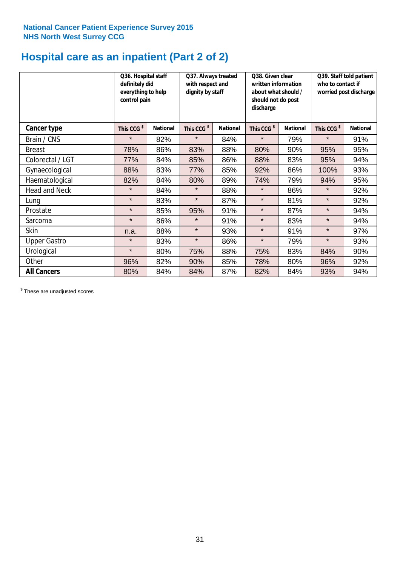### **Hospital care as an inpatient (Part 2 of 2)**

|                      | Q36. Hospital staff<br>definitely did<br>everything to help<br>control pain |                 | Q37. Always treated<br>with respect and<br>dignity by staff |                 | Q38. Given clear<br>written information<br>about what should /<br>should not do post<br>discharge |                 | Q39. Staff told patient<br>who to contact if<br>worried post discharge |                 |  |
|----------------------|-----------------------------------------------------------------------------|-----------------|-------------------------------------------------------------|-----------------|---------------------------------------------------------------------------------------------------|-----------------|------------------------------------------------------------------------|-----------------|--|
| <b>Cancer type</b>   | This CCG <sup>\$</sup>                                                      | <b>National</b> | This CCG <sup>\$</sup>                                      | <b>National</b> | This CCG <sup>\$</sup>                                                                            | <b>National</b> | This CCG <sup>\$</sup>                                                 | <b>National</b> |  |
| Brain / CNS          | $\star$                                                                     | 82%             | $\star$                                                     | 84%             | $\star$                                                                                           | 79%             | $\star$                                                                | 91%             |  |
| <b>Breast</b>        | 78%                                                                         | 86%             | 83%                                                         | 88%             | 80%                                                                                               | 90%             | 95%                                                                    | 95%             |  |
| Colorectal / LGT     | 77%                                                                         | 84%             | 85%                                                         | 86%             | 88%                                                                                               | 83%             | 95%                                                                    | 94%             |  |
| Gynaecological       | 88%                                                                         | 83%             | 77%                                                         | 85%             | 92%                                                                                               | 86%             | 100%                                                                   | 93%             |  |
| Haematological       | 82%                                                                         | 84%             | 80%                                                         | 89%             | 74%                                                                                               | 79%             | 94%                                                                    | 95%             |  |
| <b>Head and Neck</b> | $\star$                                                                     | 84%             | $\star$                                                     | 88%             | $\star$                                                                                           | 86%             | $\star$                                                                | 92%             |  |
| Lung                 | $\star$                                                                     | 83%             | $\star$                                                     | 87%             | $\star$                                                                                           | 81%             | $\star$                                                                | 92%             |  |
| Prostate             | $\star$                                                                     | 85%             | 95%                                                         | 91%             | $\star$                                                                                           | 87%             | $\star$                                                                | 94%             |  |
| Sarcoma              | $\star$                                                                     | 86%             | $\star$                                                     | 91%             | $\star$                                                                                           | 83%             | $\star$                                                                | 94%             |  |
| Skin                 | n.a.                                                                        | 88%             | $\star$                                                     | 93%             | $\star$                                                                                           | 91%             | $\star$                                                                | 97%             |  |
| <b>Upper Gastro</b>  | $\star$                                                                     | 83%             | $\star$                                                     | 86%             | $\star$                                                                                           | 79%             | $\star$                                                                | 93%             |  |
| Urological           | $\star$                                                                     | 80%             | 75%                                                         | 88%             | 75%                                                                                               | 83%             | 84%                                                                    | 90%             |  |
| Other                | 96%                                                                         | 82%             | 90%                                                         | 85%             | 78%                                                                                               | 80%             | 96%                                                                    | 92%             |  |
| <b>All Cancers</b>   | 80%                                                                         | 84%             | 84%                                                         | 87%             | 82%                                                                                               | 84%             | 93%                                                                    | 94%             |  |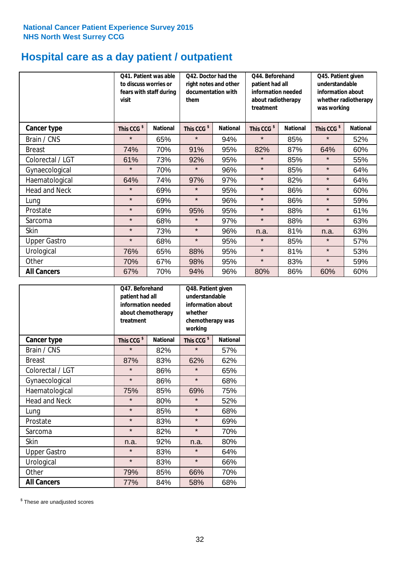## **Hospital care as a day patient / outpatient**

|                      | to discuss worries or<br>visit | Q41. Patient was able<br>fears with staff during | Q42. Doctor had the<br>right notes and other<br>documentation with<br>them |                 | Q44. Beforehand<br>patient had all<br>information needed<br>about radiotherapy<br>treatment |                 | Q45. Patient given<br>understandable<br>information about<br>whether radiotherapy<br>was working |                 |
|----------------------|--------------------------------|--------------------------------------------------|----------------------------------------------------------------------------|-----------------|---------------------------------------------------------------------------------------------|-----------------|--------------------------------------------------------------------------------------------------|-----------------|
| Cancer type          | This CCG <sup>\$</sup>         | <b>National</b>                                  | This CCG <sup>\$</sup>                                                     | <b>National</b> | This CCG <sup>\$</sup>                                                                      | <b>National</b> | This CCG <sup>\$</sup>                                                                           | <b>National</b> |
| Brain / CNS          | $\star$                        | 65%                                              | $\star$                                                                    | 94%             | $\star$                                                                                     | 85%             | $\star$                                                                                          | 52%             |
| <b>Breast</b>        | 74%                            | 70%                                              | 91%                                                                        | 95%             | 82%                                                                                         | 87%             | 64%                                                                                              | 60%             |
| Colorectal / LGT     | 61%                            | 73%                                              | 92%                                                                        | 95%             | $\star$                                                                                     | 85%             | $\star$                                                                                          | 55%             |
| Gynaecological       | $\star$                        | 70%                                              | $\star$                                                                    | 96%             | $\star$                                                                                     | 85%             | $\star$                                                                                          | 64%             |
| Haematological       | 64%                            | 74%                                              | 97%                                                                        | 97%             | $\star$                                                                                     | 82%             | $\star$                                                                                          | 64%             |
| <b>Head and Neck</b> | $\star$                        | 69%                                              | $\star$                                                                    | 95%             | $\star$                                                                                     | 86%             | $\star$                                                                                          | 60%             |
| Lung                 | $\star$                        | 69%                                              | $\star$                                                                    | 96%             | $\star$                                                                                     | 86%             | $\star$                                                                                          | 59%             |
| Prostate             | $\star$                        | 69%                                              | 95%                                                                        | 95%             | $\star$                                                                                     | 88%             | $\star$                                                                                          | 61%             |
| Sarcoma              | $\star$                        | 68%                                              | $\star$                                                                    | 97%             | $\star$                                                                                     | 88%             | $\star$                                                                                          | 63%             |
| Skin                 | $\star$                        | 73%                                              | $\star$                                                                    | 96%             | n.a.                                                                                        | 81%             | n.a.                                                                                             | 63%             |
| <b>Upper Gastro</b>  | $\star$                        | 68%                                              | $\star$                                                                    | 95%             | $\star$                                                                                     | 85%             | $\star$                                                                                          | 57%             |
| Urological           | 76%                            | 65%                                              | 88%                                                                        | 95%             | $\star$                                                                                     | 81%             | $\star$                                                                                          | 53%             |
| Other                | 70%                            | 67%                                              | 98%                                                                        | 95%             | $\star$                                                                                     | 83%             | $\star$                                                                                          | 59%             |
| <b>All Cancers</b>   | 67%                            | 70%                                              | 94%                                                                        | 96%             | 80%                                                                                         | 86%             | 60%                                                                                              | 60%             |

|                      | O47. Beforehand<br>patient had all<br>information needed<br>about chemotherapy<br>treatment |                 | Q48. Patient given<br>understandable<br>information about<br>whether<br>chemotherapy was<br>working |                 |  |
|----------------------|---------------------------------------------------------------------------------------------|-----------------|-----------------------------------------------------------------------------------------------------|-----------------|--|
| <b>Cancer type</b>   | This CCG <sup>\$</sup>                                                                      | <b>National</b> | This CCG <sup>\$</sup>                                                                              | <b>National</b> |  |
| Brain / CNS          | $\star$                                                                                     | 82%             | $\star$                                                                                             | 57%             |  |
| <b>Breast</b>        | 87%                                                                                         | 83%             | 62%                                                                                                 | 62%             |  |
| Colorectal / LGT     | $\star$                                                                                     | 86%             | $\star$                                                                                             | 65%             |  |
| Gynaecological       | $\star$                                                                                     | 86%             | $\star$                                                                                             | 68%             |  |
| Haematological       | 75%                                                                                         | 85%             |                                                                                                     | 75%             |  |
| <b>Head and Neck</b> | $\star$                                                                                     | 80%             | $\star$                                                                                             | 52%             |  |
| Lung                 | $\star$                                                                                     | 85%             | $\star$                                                                                             | 68%             |  |
| Prostate             | $\star$                                                                                     | 83%             | $\star$                                                                                             | 69%             |  |
| Sarcoma              | $\star$                                                                                     | 82%             | $\star$                                                                                             | 70%             |  |
| Skin                 | n.a.                                                                                        | 92%             | n.a.                                                                                                | 80%             |  |
| <b>Upper Gastro</b>  | $\star$                                                                                     | 83%             | $\star$                                                                                             | 64%             |  |
| Urological           | $\star$                                                                                     | 83%             | $\star$                                                                                             | 66%             |  |
| Other                | 79%                                                                                         | 85%             | 66%                                                                                                 | 70%             |  |
| <b>All Cancers</b>   | 77%                                                                                         | 84%             | 58%                                                                                                 | 68%             |  |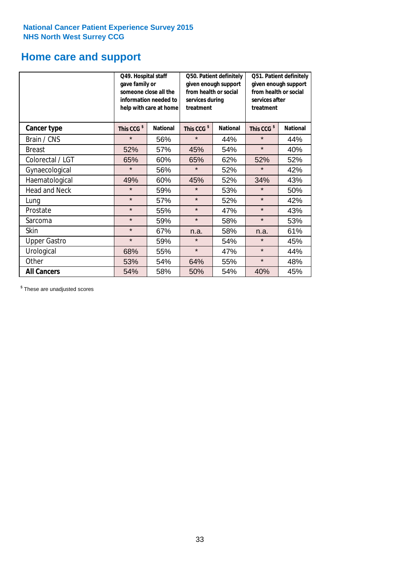### **Home care and support**

|                      | Q49. Hospital staff<br>gave family or | someone close all the<br>information needed to<br>help with care at home | Q50. Patient definitely<br>given enough support<br>from health or social<br>services during<br>treatment |                 | Q51. Patient definitely<br>given enough support<br>from health or social<br>services after<br>treatment |                 |
|----------------------|---------------------------------------|--------------------------------------------------------------------------|----------------------------------------------------------------------------------------------------------|-----------------|---------------------------------------------------------------------------------------------------------|-----------------|
| <b>Cancer type</b>   | This CCG <sup>\$</sup>                | <b>National</b>                                                          | This CCG <sup>\$</sup>                                                                                   | <b>National</b> | This CCG <sup>\$</sup>                                                                                  | <b>National</b> |
| Brain / CNS          | $\star$                               | 56%                                                                      | $\star$                                                                                                  | 44%             | $\star$                                                                                                 | 44%             |
| <b>Breast</b>        | 52%                                   | 57%                                                                      | 45%                                                                                                      | 54%             | $\star$                                                                                                 | 40%             |
| Colorectal / LGT     | 65%                                   | 60%                                                                      | 65%                                                                                                      | 62%             | 52%                                                                                                     | 52%             |
| Gynaecological       | $\star$                               | 56%                                                                      | $\star$                                                                                                  | 52%             | $\star$                                                                                                 | 42%             |
| Haematological       | 49%                                   | 60%                                                                      | 45%                                                                                                      | 52%             | 34%                                                                                                     | 43%             |
| <b>Head and Neck</b> | $\star$                               | 59%                                                                      | $\star$                                                                                                  | 53%             | $\star$                                                                                                 | 50%             |
| Lung                 | $\star$                               | 57%                                                                      | $\star$                                                                                                  | 52%             | $\star$                                                                                                 | 42%             |
| Prostate             | $\star$                               | 55%                                                                      | $\star$                                                                                                  | 47%             | $\star$                                                                                                 | 43%             |
| Sarcoma              | $\star$                               | 59%                                                                      | $\star$                                                                                                  | 58%             | $\star$                                                                                                 | 53%             |
| Skin                 | $\star$                               | 67%                                                                      | n.a.                                                                                                     | 58%             | n.a.                                                                                                    | 61%             |
| <b>Upper Gastro</b>  | $\star$                               | 59%                                                                      | $\star$                                                                                                  | 54%             | $\star$                                                                                                 | 45%             |
| Urological           | 68%                                   | 55%                                                                      | $\star$                                                                                                  | 47%             | $\star$                                                                                                 | 44%             |
| Other                | 53%                                   | 54%                                                                      | 64%                                                                                                      | 55%             | $\star$                                                                                                 | 48%             |
| <b>All Cancers</b>   | 54%                                   | 58%                                                                      | 50%                                                                                                      | 54%             | 40%                                                                                                     | 45%             |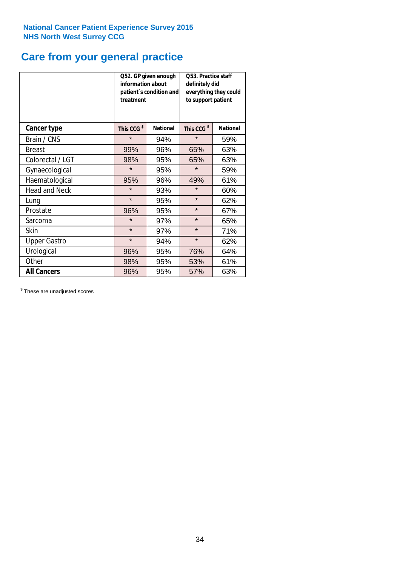# **Care from your general practice**

|                      | information about<br>treatment | Q52. GP given enough<br>patient's condition and | O53. Practice staff<br>definitely did<br>everything they could<br>to support patient |                 |  |
|----------------------|--------------------------------|-------------------------------------------------|--------------------------------------------------------------------------------------|-----------------|--|
| <b>Cancer type</b>   | This CCG <sup>\$</sup>         | <b>National</b>                                 | This CCG <sup>\$</sup>                                                               | <b>National</b> |  |
| Brain / CNS          | $\star$                        | 94%                                             | $\star$                                                                              | 59%             |  |
| <b>Breast</b>        | 99%                            | 96%                                             | 65%                                                                                  | 63%             |  |
| Colorectal / LGT     | 98%                            | 95%                                             | 65%                                                                                  | 63%             |  |
| Gynaecological       | $\star$                        | 95%                                             | $\star$                                                                              | 59%             |  |
| Haematological       | 95%                            | 96%                                             | 49%                                                                                  | 61%             |  |
| <b>Head and Neck</b> | $\star$                        | 93%                                             | $\star$                                                                              | 60%             |  |
| Lung                 | $\star$                        | 95%                                             | $\star$                                                                              | 62%             |  |
| Prostate             | 96%                            | 95%                                             | $\star$                                                                              | 67%             |  |
| Sarcoma              | $\star$                        | 97%                                             | $\star$                                                                              | 65%             |  |
| Skin                 | $\star$                        | 97%                                             | $\star$                                                                              | 71%             |  |
| <b>Upper Gastro</b>  | $\star$                        | 94%                                             | $\star$                                                                              | 62%             |  |
| Urological           | 96%                            | 95%                                             | 76%                                                                                  | 64%             |  |
| Other                | 98%                            | 95%                                             | 53%                                                                                  | 61%             |  |
| <b>All Cancers</b>   | 96%                            | 95%                                             | 57%                                                                                  | 63%             |  |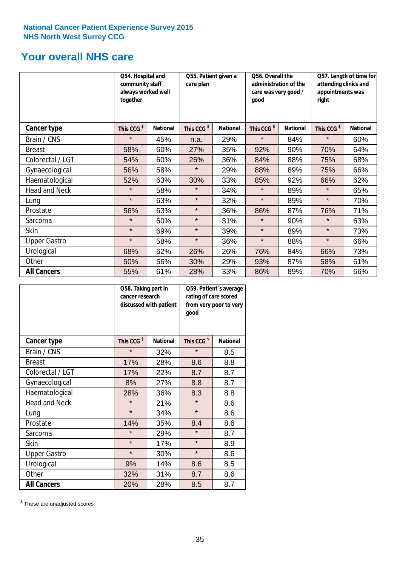### **Your overall NHS care**

|                      | Q54. Hospital and<br>community staff<br>always worked well<br>together |                 | Q55. Patient given a<br>care plan |                 | Q56. Overall the<br>administration of the<br>care was very good /<br>qood |                 | Q57. Length of time for<br>attending clinics and<br>appointments was<br>right |                 |
|----------------------|------------------------------------------------------------------------|-----------------|-----------------------------------|-----------------|---------------------------------------------------------------------------|-----------------|-------------------------------------------------------------------------------|-----------------|
| <b>Cancer type</b>   | This CCG <sup>\$</sup>                                                 | <b>National</b> | This CCG <sup>\$</sup>            | <b>National</b> | This CCG <sup>\$</sup>                                                    | <b>National</b> | This CCG <sup>\$</sup>                                                        | <b>National</b> |
| Brain / CNS          | $\star$                                                                | 45%             | n.a.                              | 29%             | $\star$                                                                   | 84%             | $\star$                                                                       | 60%             |
| <b>Breast</b>        | 58%                                                                    | 60%             | 27%                               | 35%             | 92%                                                                       | 90%             | 70%                                                                           | 64%             |
| Colorectal / LGT     | 54%                                                                    | 60%             | 26%                               | 36%             | 84%                                                                       | 88%             | 75%                                                                           | 68%             |
| Gynaecological       | 56%                                                                    | 58%             | $\star$                           | 29%             | 88%                                                                       | 89%             | 75%                                                                           | 66%             |
| Haematological       | 52%                                                                    | 63%             | 30%                               | 33%             | 85%                                                                       | 92%             | 66%                                                                           | 62%             |
| <b>Head and Neck</b> | $\star$                                                                | 58%             | $\star$                           | 34%             | $\star$                                                                   | 89%             | $\star$                                                                       | 65%             |
| Lung                 | $\star$                                                                | 63%             | $\star$                           | 32%             | $\star$                                                                   | 89%             | $\star$                                                                       | 70%             |
| Prostate             | 56%                                                                    | 63%             | $\star$                           | 36%             | 86%                                                                       | 87%             | 76%                                                                           | 71%             |
| Sarcoma              | $\star$                                                                | 60%             | $\star$                           | 31%             | $\star$                                                                   | 90%             | $\star$                                                                       | 63%             |
| Skin                 | $\star$                                                                | 69%             | $\star$                           | 39%             | $\star$                                                                   | 89%             | $\star$                                                                       | 73%             |
| <b>Upper Gastro</b>  | $\star$                                                                | 58%             | $\star$                           | 36%             | $\star$                                                                   | 88%             | $\star$                                                                       | 66%             |
| Urological           | 68%                                                                    | 62%             | 26%                               | 26%             | 76%                                                                       | 84%             | 66%                                                                           | 73%             |
| Other                | 50%                                                                    | 56%             | 30%                               | 29%             | 93%                                                                       | 87%             | 58%                                                                           | 61%             |
| <b>All Cancers</b>   | 55%                                                                    | 61%             | 28%                               | 33%             | 86%                                                                       | 89%             | 70%                                                                           | 66%             |

|                      | Q58. Taking part in<br>cancer research | discussed with patient | Q59. Patient's average<br>rating of care scored<br>from very poor to very<br>good |                 |  |
|----------------------|----------------------------------------|------------------------|-----------------------------------------------------------------------------------|-----------------|--|
| <b>Cancer type</b>   | This CCG <sup>\$</sup>                 | <b>National</b>        | This CCG <sup>\$</sup>                                                            | <b>National</b> |  |
| Brain / CNS          | $\star$                                | 32%                    | $\star$                                                                           | 8.5             |  |
| <b>Breast</b>        | 17%                                    | 28%                    | 8.6                                                                               | 8.8             |  |
| Colorectal / LGT     | 17%                                    | 22%                    | 8.7                                                                               | 8.7             |  |
| Gynaecological       | 8%                                     | 27%                    | 8.8                                                                               | 8.7             |  |
| Haematological       | 28%                                    | 36%                    | 8.3                                                                               | 8.8             |  |
| <b>Head and Neck</b> | $\star$                                | 21%                    | $\star$                                                                           | 8.6             |  |
| Lung                 | $\star$                                | 34%                    | $\star$                                                                           | 8.6             |  |
| Prostate             | 14%                                    | 35%                    | 8.4                                                                               | 8.6             |  |
| Sarcoma              | $\star$                                | 29%                    | $\star$                                                                           | 8.7             |  |
| Skin                 | $\star$                                | 17%                    | $\star$                                                                           | 8.9             |  |
| <b>Upper Gastro</b>  | $\star$                                | 30%                    | $\star$                                                                           | 8.6             |  |
| Urological           | 9%                                     | 14%                    | 8.6                                                                               | 8.5             |  |
| Other                | 32%                                    | 31%                    | 8.7                                                                               | 8.6             |  |
| <b>All Cancers</b>   | 20%                                    | 28%                    | 8.5                                                                               | 8.7             |  |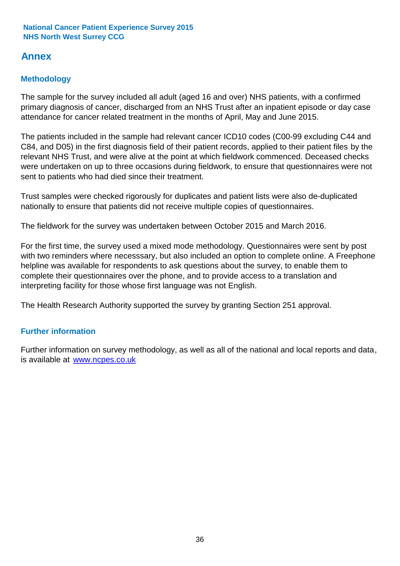### **Annex**

#### **Methodology**

The sample for the survey included all adult (aged 16 and over) NHS patients, with a confirmed primary diagnosis of cancer, discharged from an NHS Trust after an inpatient episode or day case attendance for cancer related treatment in the months of April, May and June 2015.

The patients included in the sample had relevant cancer ICD10 codes (C00-99 excluding C44 and C84, and D05) in the first diagnosis field of their patient records, applied to their patient files by the relevant NHS Trust, and were alive at the point at which fieldwork commenced. Deceased checks were undertaken on up to three occasions during fieldwork, to ensure that questionnaires were not sent to patients who had died since their treatment.

Trust samples were checked rigorously for duplicates and patient lists were also de-duplicated nationally to ensure that patients did not receive multiple copies of questionnaires.

The fieldwork for the survey was undertaken between October 2015 and March 2016.

For the first time, the survey used a mixed mode methodology. Questionnaires were sent by post with two reminders where necesssary, but also included an option to complete online. A Freephone helpline was available for respondents to ask questions about the survey, to enable them to complete their questionnaires over the phone, and to provide access to a translation and interpreting facility for those whose first language was not English.

The Health Research Authority supported the survey by granting Section 251 approval.

#### **Further information**

Further information on survey methodology, as well as all of the national and local reports and data, is available at www.ncpes.co.uk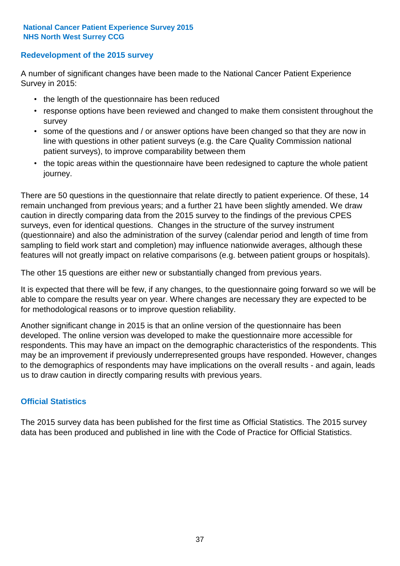#### **Redevelopment of the 2015 survey**

A number of significant changes have been made to the National Cancer Patient Experience Survey in 2015:

- the length of the questionnaire has been reduced
- response options have been reviewed and changed to make them consistent throughout the survey
- some of the questions and / or answer options have been changed so that they are now in line with questions in other patient surveys (e.g. the Care Quality Commission national patient surveys), to improve comparability between them
- the topic areas within the questionnaire have been redesigned to capture the whole patient journey.

There are 50 questions in the questionnaire that relate directly to patient experience. Of these, 14 remain unchanged from previous years; and a further 21 have been slightly amended. We draw caution in directly comparing data from the 2015 survey to the findings of the previous CPES surveys, even for identical questions. Changes in the structure of the survey instrument (questionnaire) and also the administration of the survey (calendar period and length of time from sampling to field work start and completion) may influence nationwide averages, although these features will not greatly impact on relative comparisons (e.g. between patient groups or hospitals).

The other 15 questions are either new or substantially changed from previous years.

It is expected that there will be few, if any changes, to the questionnaire going forward so we will be able to compare the results year on year. Where changes are necessary they are expected to be for methodological reasons or to improve question reliability.

Another significant change in 2015 is that an online version of the questionnaire has been developed. The online version was developed to make the questionnaire more accessible for respondents. This may have an impact on the demographic characteristics of the respondents. This may be an improvement if previously underrepresented groups have responded. However, changes to the demographics of respondents may have implications on the overall results - and again, leads us to draw caution in directly comparing results with previous years.

#### **Official Statistics**

The 2015 survey data has been published for the first time as Official Statistics. The 2015 survey data has been produced and published in line with the Code of Practice for Official Statistics.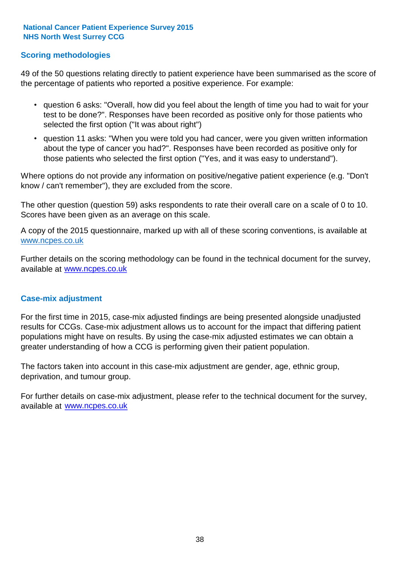#### **Scoring methodologies**

49 of the 50 questions relating directly to patient experience have been summarised as the score of the percentage of patients who reported a positive experience. For example:

- question 6 asks: "Overall, how did you feel about the length of time you had to wait for your test to be done?". Responses have been recorded as positive only for those patients who selected the first option ("It was about right")
- question 11 asks: "When you were told you had cancer, were you given written information about the type of cancer you had?". Responses have been recorded as positive only for those patients who selected the first option ("Yes, and it was easy to understand").

Where options do not provide any information on positive/negative patient experience (e.g. "Don't know / can't remember"), they are excluded from the score.

The other question (question 59) asks respondents to rate their overall care on a scale of 0 to 10. Scores have been given as an average on this scale.

A copy of the 2015 questionnaire, marked up with all of these scoring conventions, is available at www.ncpes.co.uk

Further details on the scoring methodology can be found in the technical document for the survey, available at <u>www.ncpes.co.uk</u>

#### **Case-mix adjustment**

For the first time in 2015, case-mix adjusted findings are being presented alongside unadjusted results for CCGs. Case-mix adjustment allows us to account for the impact that differing patient populations might have on results. By using the case-mix adjusted estimates we can obtain a greater understanding of how a CCG is performing given their patient population.

The factors taken into account in this case-mix adjustment are gender, age, ethnic group, deprivation, and tumour group.

For further details on case-mix adjustment, please refer to the technical document for the survey, available at www.ncpes.co.uk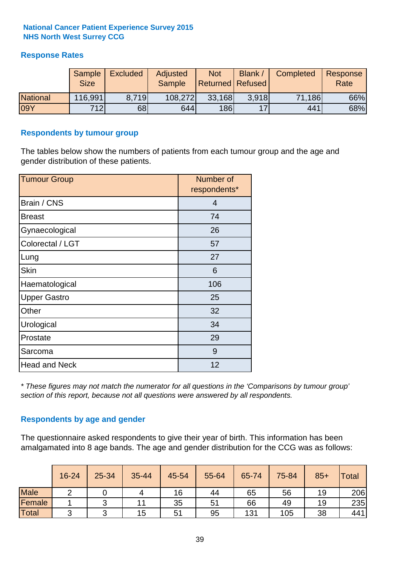#### **Response Rates**

|                 | <b>Sample</b><br><b>Size</b> | <b>Excluded</b> | Adjusted<br><b>Sample</b> | <b>Not</b><br><b>Returned Refused</b> | <b>Blank</b> | Completed | Response<br>Rate |
|-----------------|------------------------------|-----------------|---------------------------|---------------------------------------|--------------|-----------|------------------|
| <b>National</b> | 116,991                      | 8.719           | 108,272                   | 33,168                                | 3.918        | 71,186    | 66%              |
| <b>09Y</b>      | 712                          | 68              | 644                       | <b>186</b>                            | 17           | 441       | 68%              |

#### **Respondents by tumour group**

The tables below show the numbers of patients from each tumour group and the age and gender distribution of these patients.

| <b>Tumour Group</b>  | Number of<br>respondents* |  |  |
|----------------------|---------------------------|--|--|
| Brain / CNS          | $\overline{4}$            |  |  |
| <b>Breast</b>        | 74                        |  |  |
| Gynaecological       | 26                        |  |  |
| Colorectal / LGT     | 57                        |  |  |
| Lung                 | 27                        |  |  |
| <b>Skin</b>          | 6                         |  |  |
| Haematological       | 106                       |  |  |
| <b>Upper Gastro</b>  | 25                        |  |  |
| Other                | 32                        |  |  |
| Urological           | 34                        |  |  |
| Prostate             | 29                        |  |  |
| Sarcoma              | 9                         |  |  |
| <b>Head and Neck</b> | 12                        |  |  |

*\* These figures may not match the numerator for all questions in the 'Comparisons by tumour group' section of this report, because not all questions were answered by all respondents.*

#### **Respondents by age and gender**

The questionnaire asked respondents to give their year of birth. This information has been amalgamated into 8 age bands. The age and gender distribution for the CCG was as follows:

|             | 16-24 | 25-34 | $35 - 44$ | 45-54 | 55-64 | 65-74 | 75-84 | $85+$ | Total |
|-------------|-------|-------|-----------|-------|-------|-------|-------|-------|-------|
| <b>Male</b> |       |       | 4         | 16    | 44    | 65    | 56    | 19    | 206   |
| Female      |       | ີ     | 11        | 35    | 51    | 66    | 49    | 19    | 235   |
| Total       | ⌒     |       | 15        | 51    | 95    | 131   | 105   | 38    | 441   |